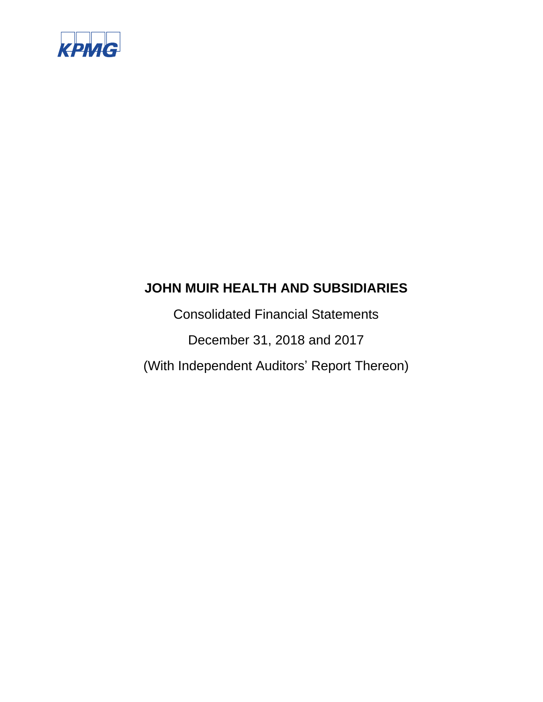

Consolidated Financial Statements December 31, 2018 and 2017 (With Independent Auditors' Report Thereon)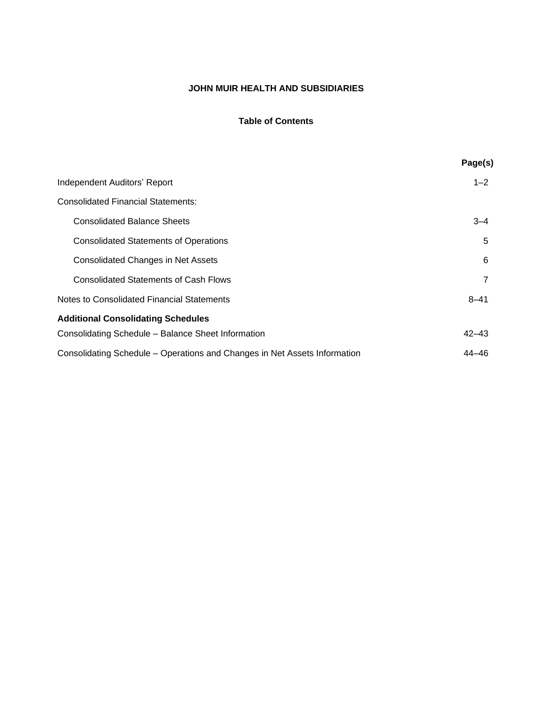# **Table of Contents**

|                                                                           | Page(s)   |
|---------------------------------------------------------------------------|-----------|
| Independent Auditors' Report                                              | $1 - 2$   |
| <b>Consolidated Financial Statements:</b>                                 |           |
| <b>Consolidated Balance Sheets</b>                                        | $3 - 4$   |
| <b>Consolidated Statements of Operations</b>                              | 5         |
| <b>Consolidated Changes in Net Assets</b>                                 | 6         |
| <b>Consolidated Statements of Cash Flows</b>                              | 7         |
| Notes to Consolidated Financial Statements                                | $8 - 41$  |
| <b>Additional Consolidating Schedules</b>                                 |           |
| Consolidating Schedule - Balance Sheet Information                        | $42 - 43$ |
| Consolidating Schedule – Operations and Changes in Net Assets Information | $44 - 46$ |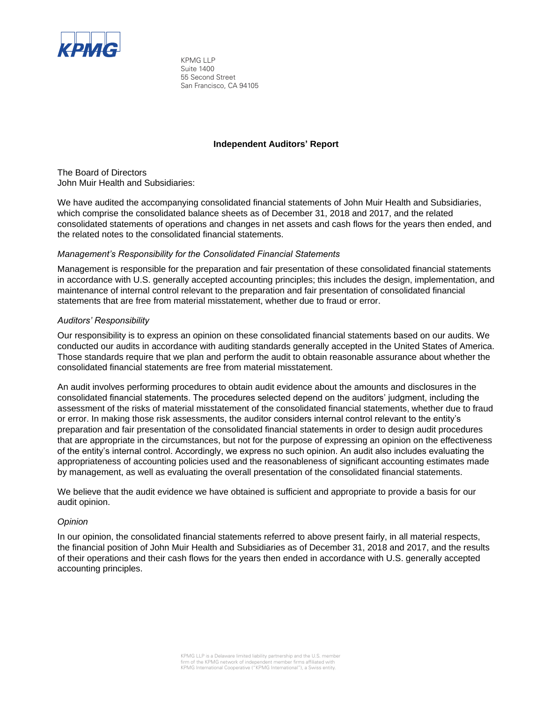

KPMG LLP Suite 1400 55 Second Street San Francisco, CA 94105

# **Independent Auditors' Report**

The Board of Directors John Muir Health and Subsidiaries:

We have audited the accompanying consolidated financial statements of John Muir Health and Subsidiaries, which comprise the consolidated balance sheets as of December 31, 2018 and 2017, and the related consolidated statements of operations and changes in net assets and cash flows for the years then ended, and the related notes to the consolidated financial statements.

# *Management's Responsibility for the Consolidated Financial Statements*

Management is responsible for the preparation and fair presentation of these consolidated financial statements in accordance with U.S. generally accepted accounting principles; this includes the design, implementation, and maintenance of internal control relevant to the preparation and fair presentation of consolidated financial statements that are free from material misstatement, whether due to fraud or error.

# *Auditors' Responsibility*

Our responsibility is to express an opinion on these consolidated financial statements based on our audits. We conducted our audits in accordance with auditing standards generally accepted in the United States of America. Those standards require that we plan and perform the audit to obtain reasonable assurance about whether the consolidated financial statements are free from material misstatement.

An audit involves performing procedures to obtain audit evidence about the amounts and disclosures in the consolidated financial statements. The procedures selected depend on the auditors' judgment, including the assessment of the risks of material misstatement of the consolidated financial statements, whether due to fraud or error. In making those risk assessments, the auditor considers internal control relevant to the entity's preparation and fair presentation of the consolidated financial statements in order to design audit procedures that are appropriate in the circumstances, but not for the purpose of expressing an opinion on the effectiveness of the entity's internal control. Accordingly, we express no such opinion. An audit also includes evaluating the appropriateness of accounting policies used and the reasonableness of significant accounting estimates made by management, as well as evaluating the overall presentation of the consolidated financial statements.

We believe that the audit evidence we have obtained is sufficient and appropriate to provide a basis for our audit opinion.

### *Opinion*

In our opinion, the consolidated financial statements referred to above present fairly, in all material respects, the financial position of John Muir Health and Subsidiaries as of December 31, 2018 and 2017, and the results of their operations and their cash flows for the years then ended in accordance with U.S. generally accepted accounting principles.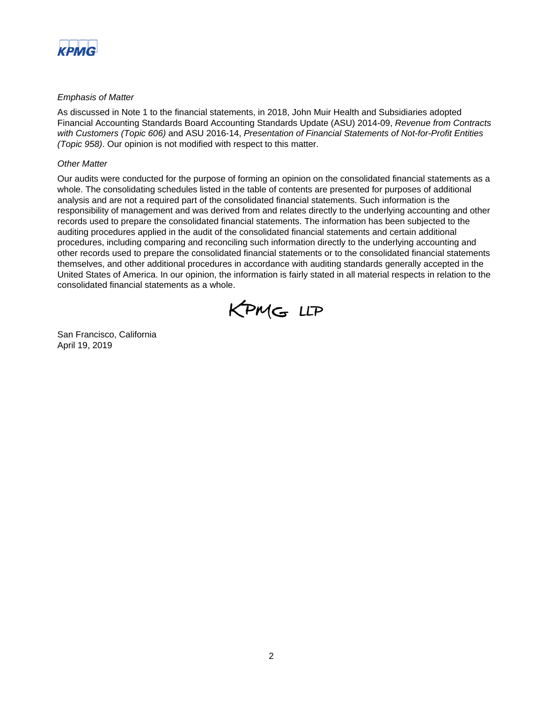

# *Emphasis of Matter*

As discussed in Note 1 to the financial statements, in 2018, John Muir Health and Subsidiaries adopted Financial Accounting Standards Board Accounting Standards Update (ASU) 2014-09, *Revenue from Contracts with Customers (Topic 606)* and ASU 2016-14, *Presentation of Financial Statements of Not-for-Profit Entities (Topic 958)*. Our opinion is not modified with respect to this matter.

# *Other Matter*

Our audits were conducted for the purpose of forming an opinion on the consolidated financial statements as a whole. The consolidating schedules listed in the table of contents are presented for purposes of additional analysis and are not a required part of the consolidated financial statements. Such information is the responsibility of management and was derived from and relates directly to the underlying accounting and other records used to prepare the consolidated financial statements. The information has been subjected to the auditing procedures applied in the audit of the consolidated financial statements and certain additional procedures, including comparing and reconciling such information directly to the underlying accounting and other records used to prepare the consolidated financial statements or to the consolidated financial statements themselves, and other additional procedures in accordance with auditing standards generally accepted in the United States of America. In our opinion, the information is fairly stated in all material respects in relation to the consolidated financial statements as a whole.



San Francisco, California April 19, 2019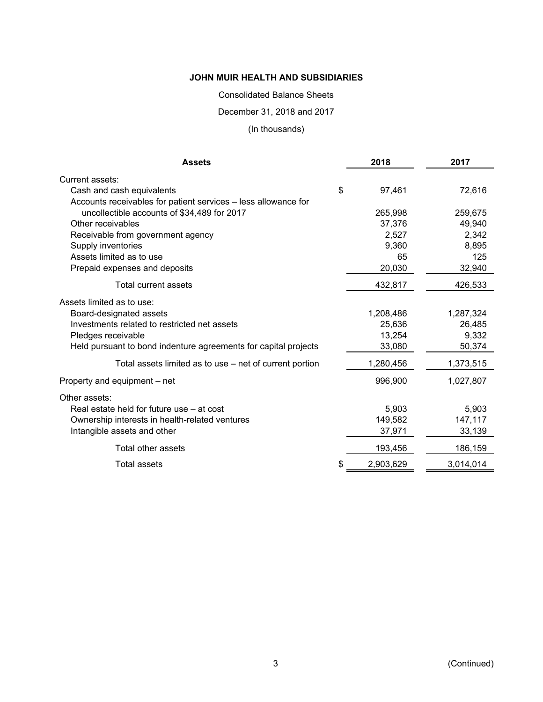# Consolidated Balance Sheets

# December 31, 2018 and 2017

# (In thousands)

| <b>Assets</b>                                                   | 2018            | 2017      |
|-----------------------------------------------------------------|-----------------|-----------|
| Current assets:                                                 |                 |           |
| Cash and cash equivalents                                       | \$<br>97,461    | 72,616    |
| Accounts receivables for patient services - less allowance for  |                 |           |
| uncollectible accounts of \$34,489 for 2017                     | 265,998         | 259,675   |
| Other receivables                                               | 37,376          | 49,940    |
| Receivable from government agency                               | 2,527           | 2,342     |
| Supply inventories                                              | 9,360           | 8,895     |
| Assets limited as to use                                        | 65              | 125       |
| Prepaid expenses and deposits                                   | 20,030          | 32,940    |
| Total current assets                                            | 432,817         | 426,533   |
| Assets limited as to use:                                       |                 |           |
| Board-designated assets                                         | 1,208,486       | 1,287,324 |
| Investments related to restricted net assets                    | 25,636          | 26,485    |
| Pledges receivable                                              | 13,254          | 9,332     |
| Held pursuant to bond indenture agreements for capital projects | 33,080          | 50,374    |
| Total assets limited as to use - net of current portion         | 1,280,456       | 1,373,515 |
| Property and equipment – net                                    | 996,900         | 1,027,807 |
| Other assets:                                                   |                 |           |
| Real estate held for future use - at cost                       | 5,903           | 5,903     |
| Ownership interests in health-related ventures                  | 149,582         | 147,117   |
| Intangible assets and other                                     | 37,971          | 33,139    |
| Total other assets                                              | 193,456         | 186,159   |
| Total assets                                                    | \$<br>2,903,629 | 3,014,014 |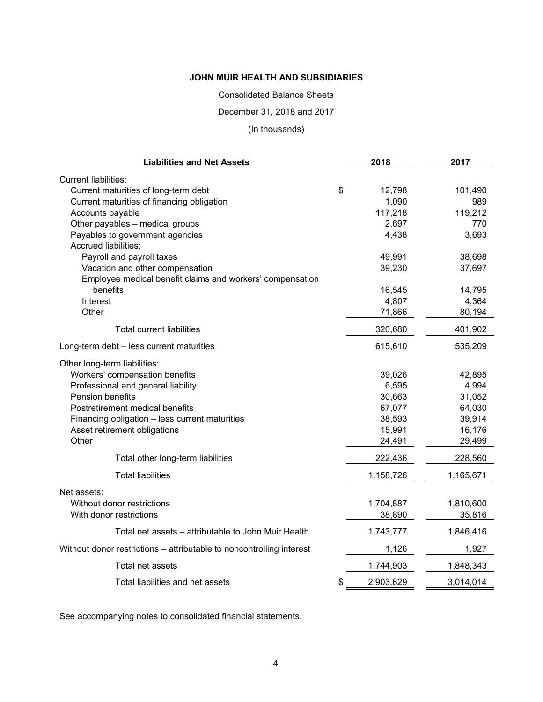Consolidated Balance Sheets

December 31, 2018 and 2017

(In thousands)

| <b>Liabilities and Net Assets</b>                                    | 2018            | 2017      |
|----------------------------------------------------------------------|-----------------|-----------|
| <b>Current liabilities:</b>                                          |                 |           |
| Current maturities of long-term debt                                 | \$<br>12,798    | 101,490   |
| Current maturities of financing obligation                           | 1,090           | 989       |
| Accounts payable                                                     | 117,218         | 119,212   |
| Other payables - medical groups                                      | 2,697           | 770       |
| Payables to government agencies<br><b>Accrued liabilities:</b>       | 4,438           | 3,693     |
| Payroll and payroll taxes                                            | 49,991          | 38,698    |
| Vacation and other compensation                                      | 39,230          | 37,697    |
| Employee medical benefit claims and workers' compensation            |                 |           |
| benefits                                                             | 16,545          | 14,795    |
| Interest                                                             | 4,807           | 4,364     |
| Other                                                                | 71,866          | 80,194    |
| Total current liabilities                                            | 320,680         | 401,902   |
| Long-term debt - less current maturities                             | 615,610         | 535,209   |
| Other long-term liabilities:                                         |                 |           |
| Workers' compensation benefits                                       | 39,026          | 42,895    |
| Professional and general liability                                   | 6,595           | 4,994     |
| Pension benefits                                                     | 30,663          | 31,052    |
| Postretirement medical benefits                                      | 67,077          | 64,030    |
| Financing obligation - less current maturities                       | 38,593          | 39,914    |
| Asset retirement obligations                                         | 15,991          | 16,176    |
| Other                                                                | 24,491          | 29,499    |
| Total other long-term liabilities                                    | 222,436         | 228,560   |
| <b>Total liabilities</b>                                             | 1,158,726       | 1,165,671 |
| Net assets:                                                          |                 |           |
| Without donor restrictions                                           | 1,704,887       | 1,810,600 |
| With donor restrictions                                              | 38,890          | 35,816    |
| Total net assets - attributable to John Muir Health                  | 1,743,777       | 1,846,416 |
| Without donor restrictions - attributable to noncontrolling interest | 1,126           | 1,927     |
| Total net assets                                                     | 1,744,903       | 1,848,343 |
| Total liabilities and net assets                                     | \$<br>2,903,629 | 3,014,014 |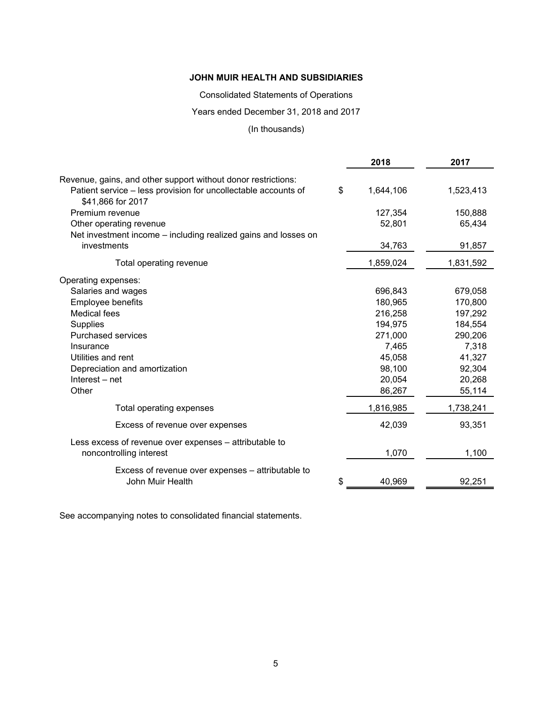Consolidated Statements of Operations

Years ended December 31, 2018 and 2017

# (In thousands)

| Revenue, gains, and other support without donor restrictions:<br>Patient service - less provision for uncollectable accounts of<br>\$<br>1,644,106<br>1,523,413<br>\$41,866 for 2017<br>Premium revenue<br>127,354<br>150,888<br>52,801<br>65,434<br>Other operating revenue<br>Net investment income – including realized gains and losses on<br>investments<br>34,763<br>91,857<br>1,859,024<br>1,831,592<br>Total operating revenue<br>Operating expenses:<br>Salaries and wages<br>696,843<br>679,058<br>Employee benefits<br>180,965<br>170,800<br><b>Medical fees</b><br>216,258<br>197,292<br>194,975<br>Supplies<br>184,554<br>271,000<br><b>Purchased services</b><br>290,206<br>7,465<br>7,318<br>Insurance<br>45,058<br>41,327<br>Utilities and rent<br>98,100<br>92,304<br>Depreciation and amortization<br>Interest – net<br>20,054<br>20,268<br>Other<br>86,267<br>55,114<br>1,816,985<br>1,738,241<br>Total operating expenses<br>93,351<br>42,039<br>Excess of revenue over expenses<br>Less excess of revenue over expenses - attributable to<br>1,070<br>1,100<br>noncontrolling interest<br>Excess of revenue over expenses – attributable to |                  | 2018         | 2017   |
|------------------------------------------------------------------------------------------------------------------------------------------------------------------------------------------------------------------------------------------------------------------------------------------------------------------------------------------------------------------------------------------------------------------------------------------------------------------------------------------------------------------------------------------------------------------------------------------------------------------------------------------------------------------------------------------------------------------------------------------------------------------------------------------------------------------------------------------------------------------------------------------------------------------------------------------------------------------------------------------------------------------------------------------------------------------------------------------------------------------------------------------------------------------|------------------|--------------|--------|
|                                                                                                                                                                                                                                                                                                                                                                                                                                                                                                                                                                                                                                                                                                                                                                                                                                                                                                                                                                                                                                                                                                                                                                  |                  |              |        |
|                                                                                                                                                                                                                                                                                                                                                                                                                                                                                                                                                                                                                                                                                                                                                                                                                                                                                                                                                                                                                                                                                                                                                                  |                  |              |        |
|                                                                                                                                                                                                                                                                                                                                                                                                                                                                                                                                                                                                                                                                                                                                                                                                                                                                                                                                                                                                                                                                                                                                                                  |                  |              |        |
|                                                                                                                                                                                                                                                                                                                                                                                                                                                                                                                                                                                                                                                                                                                                                                                                                                                                                                                                                                                                                                                                                                                                                                  |                  |              |        |
|                                                                                                                                                                                                                                                                                                                                                                                                                                                                                                                                                                                                                                                                                                                                                                                                                                                                                                                                                                                                                                                                                                                                                                  |                  |              |        |
|                                                                                                                                                                                                                                                                                                                                                                                                                                                                                                                                                                                                                                                                                                                                                                                                                                                                                                                                                                                                                                                                                                                                                                  |                  |              |        |
|                                                                                                                                                                                                                                                                                                                                                                                                                                                                                                                                                                                                                                                                                                                                                                                                                                                                                                                                                                                                                                                                                                                                                                  |                  |              |        |
|                                                                                                                                                                                                                                                                                                                                                                                                                                                                                                                                                                                                                                                                                                                                                                                                                                                                                                                                                                                                                                                                                                                                                                  |                  |              |        |
|                                                                                                                                                                                                                                                                                                                                                                                                                                                                                                                                                                                                                                                                                                                                                                                                                                                                                                                                                                                                                                                                                                                                                                  |                  |              |        |
|                                                                                                                                                                                                                                                                                                                                                                                                                                                                                                                                                                                                                                                                                                                                                                                                                                                                                                                                                                                                                                                                                                                                                                  |                  |              |        |
|                                                                                                                                                                                                                                                                                                                                                                                                                                                                                                                                                                                                                                                                                                                                                                                                                                                                                                                                                                                                                                                                                                                                                                  |                  |              |        |
|                                                                                                                                                                                                                                                                                                                                                                                                                                                                                                                                                                                                                                                                                                                                                                                                                                                                                                                                                                                                                                                                                                                                                                  |                  |              |        |
|                                                                                                                                                                                                                                                                                                                                                                                                                                                                                                                                                                                                                                                                                                                                                                                                                                                                                                                                                                                                                                                                                                                                                                  |                  |              |        |
|                                                                                                                                                                                                                                                                                                                                                                                                                                                                                                                                                                                                                                                                                                                                                                                                                                                                                                                                                                                                                                                                                                                                                                  |                  |              |        |
|                                                                                                                                                                                                                                                                                                                                                                                                                                                                                                                                                                                                                                                                                                                                                                                                                                                                                                                                                                                                                                                                                                                                                                  |                  |              |        |
|                                                                                                                                                                                                                                                                                                                                                                                                                                                                                                                                                                                                                                                                                                                                                                                                                                                                                                                                                                                                                                                                                                                                                                  |                  |              |        |
|                                                                                                                                                                                                                                                                                                                                                                                                                                                                                                                                                                                                                                                                                                                                                                                                                                                                                                                                                                                                                                                                                                                                                                  |                  |              |        |
|                                                                                                                                                                                                                                                                                                                                                                                                                                                                                                                                                                                                                                                                                                                                                                                                                                                                                                                                                                                                                                                                                                                                                                  |                  |              |        |
|                                                                                                                                                                                                                                                                                                                                                                                                                                                                                                                                                                                                                                                                                                                                                                                                                                                                                                                                                                                                                                                                                                                                                                  |                  |              |        |
|                                                                                                                                                                                                                                                                                                                                                                                                                                                                                                                                                                                                                                                                                                                                                                                                                                                                                                                                                                                                                                                                                                                                                                  |                  |              |        |
|                                                                                                                                                                                                                                                                                                                                                                                                                                                                                                                                                                                                                                                                                                                                                                                                                                                                                                                                                                                                                                                                                                                                                                  |                  |              |        |
|                                                                                                                                                                                                                                                                                                                                                                                                                                                                                                                                                                                                                                                                                                                                                                                                                                                                                                                                                                                                                                                                                                                                                                  | John Muir Health | \$<br>40,969 | 92,251 |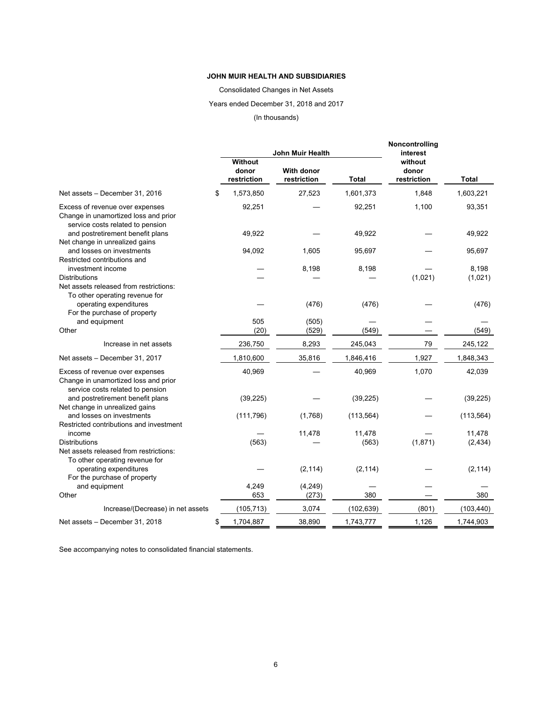Consolidated Changes in Net Assets

# Years ended December 31, 2018 and 2017

#### (In thousands)

|                                                                                                             |                                 | John Muir Health                 |                 | Noncontrolling<br>interest      |                    |
|-------------------------------------------------------------------------------------------------------------|---------------------------------|----------------------------------|-----------------|---------------------------------|--------------------|
|                                                                                                             | Without<br>donor<br>restriction | <b>With donor</b><br>restriction | <b>Total</b>    | without<br>donor<br>restriction | <b>Total</b>       |
| Net assets - December 31, 2016                                                                              | \$<br>1,573,850                 | 27,523                           | 1,601,373       | 1,848                           | 1,603,221          |
| Excess of revenue over expenses<br>Change in unamortized loss and prior<br>service costs related to pension | 92,251                          |                                  | 92,251          | 1,100                           | 93,351             |
| and postretirement benefit plans<br>Net change in unrealized gains                                          | 49,922                          |                                  | 49,922          |                                 | 49,922             |
| and losses on investments<br>Restricted contributions and                                                   | 94,092                          | 1,605                            | 95,697          |                                 | 95,697             |
| investment income<br><b>Distributions</b><br>Net assets released from restrictions:                         |                                 | 8,198                            | 8,198           | (1,021)                         | 8,198<br>(1,021)   |
| To other operating revenue for<br>operating expenditures<br>For the purchase of property                    |                                 | (476)                            | (476)           |                                 | (476)              |
| and equipment<br>Other                                                                                      | 505<br>(20)                     | (505)<br>(529)                   | (549)           |                                 | (549)              |
| Increase in net assets                                                                                      | 236,750                         | 8,293                            | 245,043         | 79                              | 245,122            |
| Net assets - December 31, 2017                                                                              | 1,810,600                       | 35,816                           | 1,846,416       | 1,927                           | 1,848,343          |
| Excess of revenue over expenses<br>Change in unamortized loss and prior<br>service costs related to pension | 40,969                          |                                  | 40,969          | 1,070                           | 42,039             |
| and postretirement benefit plans<br>Net change in unrealized gains                                          | (39, 225)                       |                                  | (39, 225)       |                                 | (39, 225)          |
| and losses on investments<br>Restricted contributions and investment                                        | (111, 796)                      | (1,768)                          | (113, 564)      |                                 | (113, 564)         |
| income<br><b>Distributions</b><br>Net assets released from restrictions:                                    | (563)                           | 11,478                           | 11,478<br>(563) | (1,871)                         | 11,478<br>(2, 434) |
| To other operating revenue for<br>operating expenditures<br>For the purchase of property                    |                                 | (2, 114)                         | (2, 114)        |                                 | (2, 114)           |
| and equipment<br>Other                                                                                      | 4,249<br>653                    | (4, 249)<br>(273)                | 380             |                                 | 380                |
| Increase/(Decrease) in net assets                                                                           | (105, 713)                      | 3,074                            | (102, 639)      | (801)                           | (103, 440)         |
| Net assets - December 31, 2018                                                                              | \$<br>1,704,887                 | 38,890                           | 1,743,777       | 1,126                           | 1,744,903          |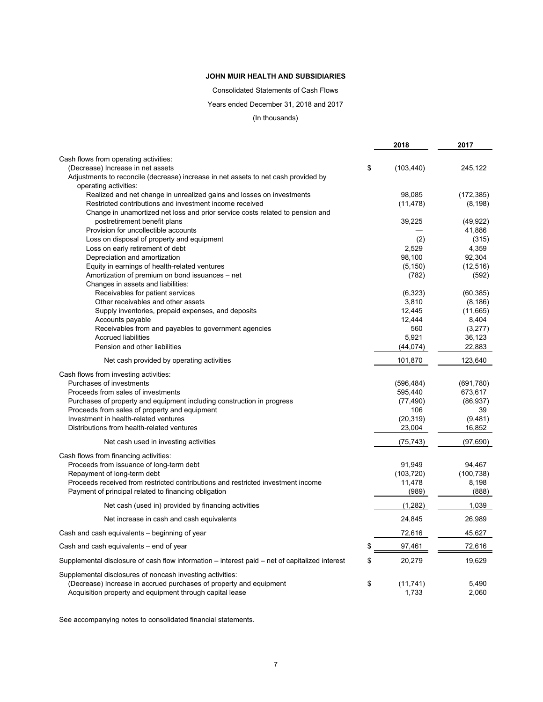Consolidated Statements of Cash Flows

Years ended December 31, 2018 and 2017

(In thousands)

|                                                                                                | 2018                  | 2017                 |
|------------------------------------------------------------------------------------------------|-----------------------|----------------------|
| Cash flows from operating activities:                                                          |                       |                      |
| (Decrease) Increase in net assets                                                              | \$<br>(103, 440)      | 245,122              |
| Adjustments to reconcile (decrease) increase in net assets to net cash provided by             |                       |                      |
| operating activities:                                                                          |                       |                      |
| Realized and net change in unrealized gains and losses on investments                          | 98,085                | (172, 385)           |
| Restricted contributions and investment income received                                        | (11, 478)             | (8, 198)             |
| Change in unamortized net loss and prior service costs related to pension and                  |                       |                      |
| postretirement benefit plans                                                                   | 39,225                | (49, 922)            |
| Provision for uncollectible accounts                                                           |                       | 41,886               |
| Loss on disposal of property and equipment                                                     | (2)                   | (315)                |
| Loss on early retirement of debt                                                               | 2,529                 | 4,359                |
| Depreciation and amortization                                                                  | 98,100                | 92,304               |
| Equity in earnings of health-related ventures                                                  | (5, 150)<br>(782)     | (12, 516)            |
| Amortization of premium on bond issuances - net<br>Changes in assets and liabilities:          |                       | (592)                |
| Receivables for patient services                                                               | (6,323)               | (60, 385)            |
| Other receivables and other assets                                                             | 3,810                 | (8, 186)             |
| Supply inventories, prepaid expenses, and deposits                                             | 12,445                | (11,665)             |
| Accounts payable                                                                               | 12,444                | 8,404                |
| Receivables from and payables to government agencies                                           | 560                   | (3,277)              |
| <b>Accrued liabilities</b>                                                                     | 5,921                 | 36,123               |
| Pension and other liabilities                                                                  | (44, 074)             | 22,883               |
| Net cash provided by operating activities                                                      | 101,870               | 123,640              |
|                                                                                                |                       |                      |
| Cash flows from investing activities:<br>Purchases of investments                              |                       |                      |
| Proceeds from sales of investments                                                             | (596, 484)<br>595,440 | (691,780)<br>673,617 |
| Purchases of property and equipment including construction in progress                         | (77, 490)             | (86, 937)            |
| Proceeds from sales of property and equipment                                                  | 106                   | 39                   |
| Investment in health-related ventures                                                          | (20, 319)             | (9,481)              |
| Distributions from health-related ventures                                                     | 23,004                | 16,852               |
|                                                                                                |                       |                      |
| Net cash used in investing activities                                                          | (75, 743)             | (97, 690)            |
| Cash flows from financing activities:                                                          |                       |                      |
| Proceeds from issuance of long-term debt                                                       | 91,949                | 94,467               |
| Repayment of long-term debt                                                                    | (103, 720)            | (100, 738)           |
| Proceeds received from restricted contributions and restricted investment income               | 11,478                | 8,198                |
| Payment of principal related to financing obligation                                           | (989)                 | (888)                |
| Net cash (used in) provided by financing activities                                            | (1,282)               | 1,039                |
| Net increase in cash and cash equivalents                                                      | 24,845                | 26,989               |
| Cash and cash equivalents – beginning of year                                                  | 72,616                | 45,627               |
| Cash and cash equivalents – end of year                                                        | \$<br>97,461          | 72,616               |
| Supplemental disclosure of cash flow information – interest paid – net of capitalized interest | \$<br>20,279          | 19,629               |
| Supplemental disclosures of noncash investing activities:                                      |                       |                      |
| (Decrease) Increase in accrued purchases of property and equipment                             | \$<br>(11, 741)       | 5,490                |
| Acquisition property and equipment through capital lease                                       | 1,733                 | 2,060                |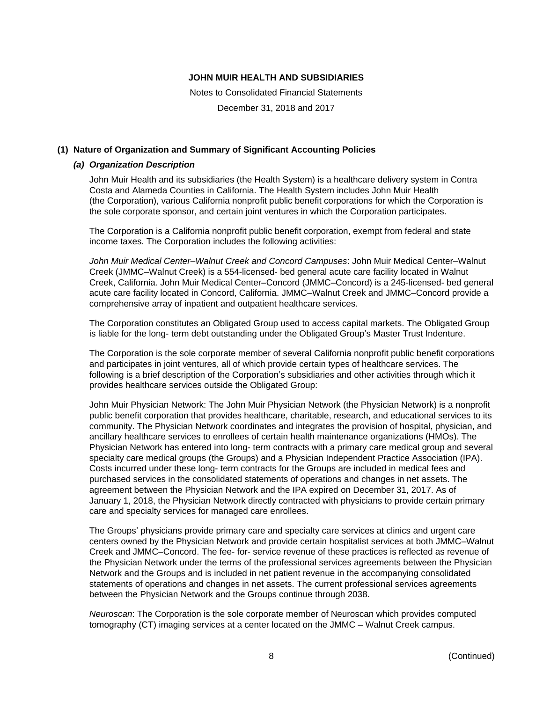Notes to Consolidated Financial Statements

December 31, 2018 and 2017

# **(1) Nature of Organization and Summary of Significant Accounting Policies**

#### *(a) Organization Description*

John Muir Health and its subsidiaries (the Health System) is a healthcare delivery system in Contra Costa and Alameda Counties in California. The Health System includes John Muir Health (the Corporation), various California nonprofit public benefit corporations for which the Corporation is the sole corporate sponsor, and certain joint ventures in which the Corporation participates.

The Corporation is a California nonprofit public benefit corporation, exempt from federal and state income taxes. The Corporation includes the following activities:

*John Muir Medical Center–Walnut Creek and Concord Campuses*: John Muir Medical Center–Walnut Creek (JMMC–Walnut Creek) is a 554-licensed- bed general acute care facility located in Walnut Creek, California. John Muir Medical Center–Concord (JMMC–Concord) is a 245-licensed- bed general acute care facility located in Concord, California. JMMC–Walnut Creek and JMMC–Concord provide a comprehensive array of inpatient and outpatient healthcare services.

The Corporation constitutes an Obligated Group used to access capital markets. The Obligated Group is liable for the long- term debt outstanding under the Obligated Group's Master Trust Indenture.

The Corporation is the sole corporate member of several California nonprofit public benefit corporations and participates in joint ventures, all of which provide certain types of healthcare services. The following is a brief description of the Corporation's subsidiaries and other activities through which it provides healthcare services outside the Obligated Group:

John Muir Physician Network: The John Muir Physician Network (the Physician Network) is a nonprofit public benefit corporation that provides healthcare, charitable, research, and educational services to its community. The Physician Network coordinates and integrates the provision of hospital, physician, and ancillary healthcare services to enrollees of certain health maintenance organizations (HMOs). The Physician Network has entered into long- term contracts with a primary care medical group and several specialty care medical groups (the Groups) and a Physician Independent Practice Association (IPA). Costs incurred under these long- term contracts for the Groups are included in medical fees and purchased services in the consolidated statements of operations and changes in net assets. The agreement between the Physician Network and the IPA expired on December 31, 2017. As of January 1, 2018, the Physician Network directly contracted with physicians to provide certain primary care and specialty services for managed care enrollees.

The Groups' physicians provide primary care and specialty care services at clinics and urgent care centers owned by the Physician Network and provide certain hospitalist services at both JMMC–Walnut Creek and JMMC–Concord. The fee- for- service revenue of these practices is reflected as revenue of the Physician Network under the terms of the professional services agreements between the Physician Network and the Groups and is included in net patient revenue in the accompanying consolidated statements of operations and changes in net assets. The current professional services agreements between the Physician Network and the Groups continue through 2038.

*Neuroscan*: The Corporation is the sole corporate member of Neuroscan which provides computed tomography (CT) imaging services at a center located on the JMMC – Walnut Creek campus.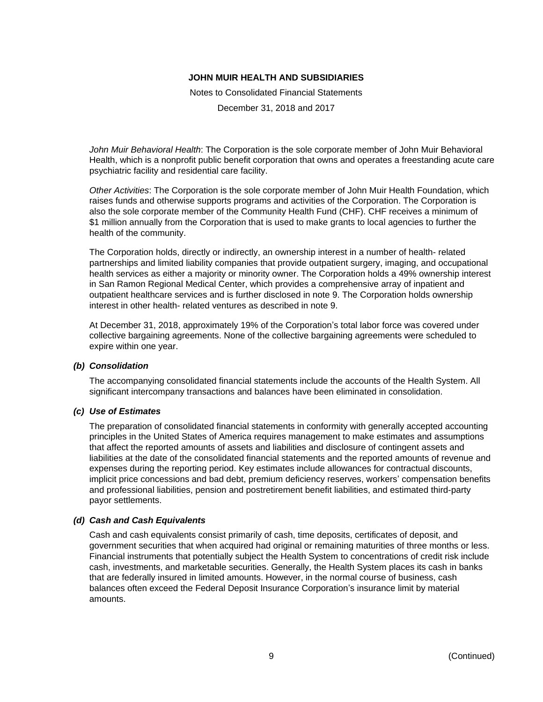Notes to Consolidated Financial Statements

December 31, 2018 and 2017

*John Muir Behavioral Health*: The Corporation is the sole corporate member of John Muir Behavioral Health, which is a nonprofit public benefit corporation that owns and operates a freestanding acute care psychiatric facility and residential care facility.

*Other Activities*: The Corporation is the sole corporate member of John Muir Health Foundation, which raises funds and otherwise supports programs and activities of the Corporation. The Corporation is also the sole corporate member of the Community Health Fund (CHF). CHF receives a minimum of \$1 million annually from the Corporation that is used to make grants to local agencies to further the health of the community.

The Corporation holds, directly or indirectly, an ownership interest in a number of health- related partnerships and limited liability companies that provide outpatient surgery, imaging, and occupational health services as either a majority or minority owner. The Corporation holds a 49% ownership interest in San Ramon Regional Medical Center, which provides a comprehensive array of inpatient and outpatient healthcare services and is further disclosed in note 9. The Corporation holds ownership interest in other health- related ventures as described in note 9.

At December 31, 2018, approximately 19% of the Corporation's total labor force was covered under collective bargaining agreements. None of the collective bargaining agreements were scheduled to expire within one year.

### *(b) Consolidation*

The accompanying consolidated financial statements include the accounts of the Health System. All significant intercompany transactions and balances have been eliminated in consolidation.

#### *(c) Use of Estimates*

The preparation of consolidated financial statements in conformity with generally accepted accounting principles in the United States of America requires management to make estimates and assumptions that affect the reported amounts of assets and liabilities and disclosure of contingent assets and liabilities at the date of the consolidated financial statements and the reported amounts of revenue and expenses during the reporting period. Key estimates include allowances for contractual discounts, implicit price concessions and bad debt, premium deficiency reserves, workers' compensation benefits and professional liabilities, pension and postretirement benefit liabilities, and estimated third-party payor settlements.

### *(d) Cash and Cash Equivalents*

Cash and cash equivalents consist primarily of cash, time deposits, certificates of deposit, and government securities that when acquired had original or remaining maturities of three months or less. Financial instruments that potentially subject the Health System to concentrations of credit risk include cash, investments, and marketable securities. Generally, the Health System places its cash in banks that are federally insured in limited amounts. However, in the normal course of business, cash balances often exceed the Federal Deposit Insurance Corporation's insurance limit by material amounts.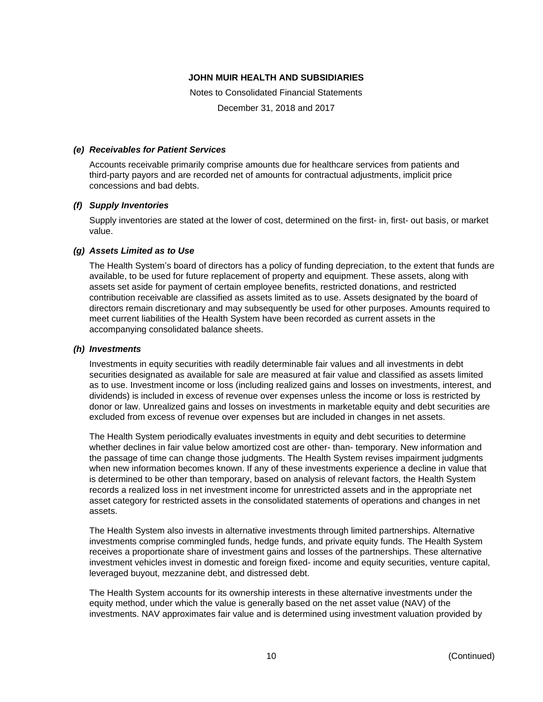Notes to Consolidated Financial Statements

December 31, 2018 and 2017

#### *(e) Receivables for Patient Services*

Accounts receivable primarily comprise amounts due for healthcare services from patients and third-party payors and are recorded net of amounts for contractual adjustments, implicit price concessions and bad debts.

#### *(f) Supply Inventories*

Supply inventories are stated at the lower of cost, determined on the first- in, first- out basis, or market value.

#### *(g) Assets Limited as to Use*

The Health System's board of directors has a policy of funding depreciation, to the extent that funds are available, to be used for future replacement of property and equipment. These assets, along with assets set aside for payment of certain employee benefits, restricted donations, and restricted contribution receivable are classified as assets limited as to use. Assets designated by the board of directors remain discretionary and may subsequently be used for other purposes. Amounts required to meet current liabilities of the Health System have been recorded as current assets in the accompanying consolidated balance sheets.

#### *(h) Investments*

Investments in equity securities with readily determinable fair values and all investments in debt securities designated as available for sale are measured at fair value and classified as assets limited as to use. Investment income or loss (including realized gains and losses on investments, interest, and dividends) is included in excess of revenue over expenses unless the income or loss is restricted by donor or law. Unrealized gains and losses on investments in marketable equity and debt securities are excluded from excess of revenue over expenses but are included in changes in net assets.

The Health System periodically evaluates investments in equity and debt securities to determine whether declines in fair value below amortized cost are other- than- temporary. New information and the passage of time can change those judgments. The Health System revises impairment judgments when new information becomes known. If any of these investments experience a decline in value that is determined to be other than temporary, based on analysis of relevant factors, the Health System records a realized loss in net investment income for unrestricted assets and in the appropriate net asset category for restricted assets in the consolidated statements of operations and changes in net assets.

The Health System also invests in alternative investments through limited partnerships. Alternative investments comprise commingled funds, hedge funds, and private equity funds. The Health System receives a proportionate share of investment gains and losses of the partnerships. These alternative investment vehicles invest in domestic and foreign fixed- income and equity securities, venture capital, leveraged buyout, mezzanine debt, and distressed debt.

The Health System accounts for its ownership interests in these alternative investments under the equity method, under which the value is generally based on the net asset value (NAV) of the investments. NAV approximates fair value and is determined using investment valuation provided by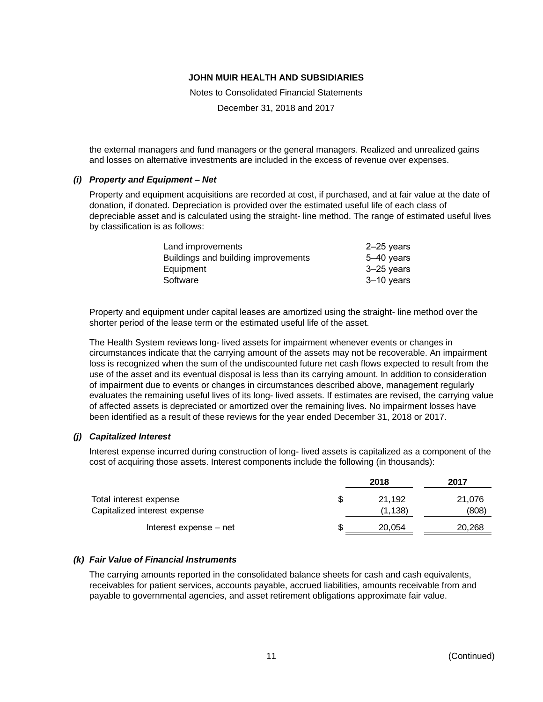Notes to Consolidated Financial Statements

December 31, 2018 and 2017

the external managers and fund managers or the general managers. Realized and unrealized gains and losses on alternative investments are included in the excess of revenue over expenses.

### *(i) Property and Equipment – Net*

Property and equipment acquisitions are recorded at cost, if purchased, and at fair value at the date of donation, if donated. Depreciation is provided over the estimated useful life of each class of depreciable asset and is calculated using the straight- line method. The range of estimated useful lives by classification is as follows:

| Land improvements                   | $2 - 25$ years |
|-------------------------------------|----------------|
| Buildings and building improvements | 5-40 years     |
| Equipment                           | 3-25 years     |
| Software                            | 3-10 years     |
|                                     |                |

Property and equipment under capital leases are amortized using the straight- line method over the shorter period of the lease term or the estimated useful life of the asset.

The Health System reviews long- lived assets for impairment whenever events or changes in circumstances indicate that the carrying amount of the assets may not be recoverable. An impairment loss is recognized when the sum of the undiscounted future net cash flows expected to result from the use of the asset and its eventual disposal is less than its carrying amount. In addition to consideration of impairment due to events or changes in circumstances described above, management regularly evaluates the remaining useful lives of its long- lived assets. If estimates are revised, the carrying value of affected assets is depreciated or amortized over the remaining lives. No impairment losses have been identified as a result of these reviews for the year ended December 31, 2018 or 2017.

### *(j) Capitalized Interest*

Interest expense incurred during construction of long- lived assets is capitalized as a component of the cost of acquiring those assets. Interest components include the following (in thousands):

|                              |     | 2018    | 2017   |
|------------------------------|-----|---------|--------|
| Total interest expense       | \$. | 21.192  | 21,076 |
| Capitalized interest expense |     | (1.138) | (808)  |
| Interest expense – net       | S   | 20,054  | 20,268 |

#### *(k) Fair Value of Financial Instruments*

The carrying amounts reported in the consolidated balance sheets for cash and cash equivalents, receivables for patient services, accounts payable, accrued liabilities, amounts receivable from and payable to governmental agencies, and asset retirement obligations approximate fair value.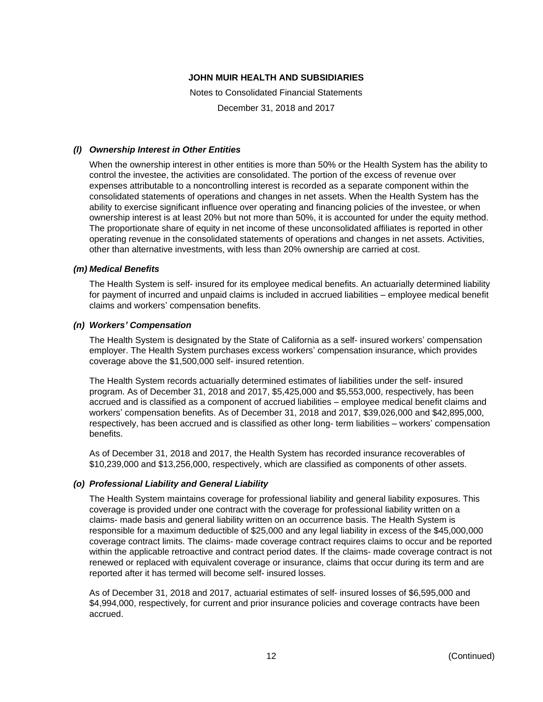Notes to Consolidated Financial Statements

December 31, 2018 and 2017

# *(l) Ownership Interest in Other Entities*

When the ownership interest in other entities is more than 50% or the Health System has the ability to control the investee, the activities are consolidated. The portion of the excess of revenue over expenses attributable to a noncontrolling interest is recorded as a separate component within the consolidated statements of operations and changes in net assets. When the Health System has the ability to exercise significant influence over operating and financing policies of the investee, or when ownership interest is at least 20% but not more than 50%, it is accounted for under the equity method. The proportionate share of equity in net income of these unconsolidated affiliates is reported in other operating revenue in the consolidated statements of operations and changes in net assets. Activities, other than alternative investments, with less than 20% ownership are carried at cost.

# *(m) Medical Benefits*

The Health System is self- insured for its employee medical benefits. An actuarially determined liability for payment of incurred and unpaid claims is included in accrued liabilities – employee medical benefit claims and workers' compensation benefits.

# *(n) Workers' Compensation*

The Health System is designated by the State of California as a self- insured workers' compensation employer. The Health System purchases excess workers' compensation insurance, which provides coverage above the \$1,500,000 self- insured retention.

The Health System records actuarially determined estimates of liabilities under the self- insured program. As of December 31, 2018 and 2017, \$5,425,000 and \$5,553,000, respectively, has been accrued and is classified as a component of accrued liabilities – employee medical benefit claims and workers' compensation benefits. As of December 31, 2018 and 2017, \$39,026,000 and \$42,895,000, respectively, has been accrued and is classified as other long- term liabilities – workers' compensation benefits.

As of December 31, 2018 and 2017, the Health System has recorded insurance recoverables of \$10,239,000 and \$13,256,000, respectively, which are classified as components of other assets.

### *(o) Professional Liability and General Liability*

The Health System maintains coverage for professional liability and general liability exposures. This coverage is provided under one contract with the coverage for professional liability written on a claims- made basis and general liability written on an occurrence basis. The Health System is responsible for a maximum deductible of \$25,000 and any legal liability in excess of the \$45,000,000 coverage contract limits. The claims- made coverage contract requires claims to occur and be reported within the applicable retroactive and contract period dates. If the claims- made coverage contract is not renewed or replaced with equivalent coverage or insurance, claims that occur during its term and are reported after it has termed will become self- insured losses.

As of December 31, 2018 and 2017, actuarial estimates of self- insured losses of \$6,595,000 and \$4,994,000, respectively, for current and prior insurance policies and coverage contracts have been accrued.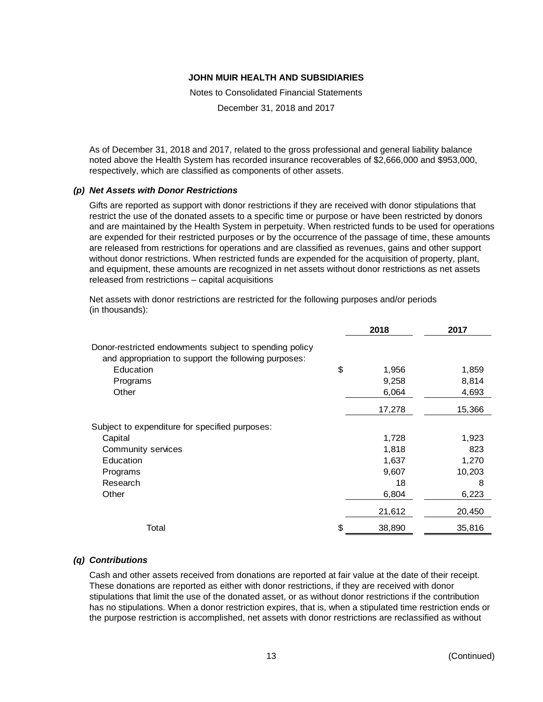Notes to Consolidated Financial Statements

December 31, 2018 and 2017

As of December 31, 2018 and 2017, related to the gross professional and general liability balance noted above the Health System has recorded insurance recoverables of \$2,666,000 and \$953,000, respectively, which are classified as components of other assets.

#### *(p) Net Assets with Donor Restrictions*

Gifts are reported as support with donor restrictions if they are received with donor stipulations that restrict the use of the donated assets to a specific time or purpose or have been restricted by donors and are maintained by the Health System in perpetuity. When restricted funds to be used for operations are expended for their restricted purposes or by the occurrence of the passage of time, these amounts are released from restrictions for operations and are classified as revenues, gains and other support without donor restrictions. When restricted funds are expended for the acquisition of property, plant, and equipment, these amounts are recognized in net assets without donor restrictions as net assets released from restrictions – capital acquisitions

Net assets with donor restrictions are restricted for the following purposes and/or periods (in thousands):

|                                                                                                                | 2018         | 2017   |
|----------------------------------------------------------------------------------------------------------------|--------------|--------|
| Donor-restricted endowments subject to spending policy<br>and appropriation to support the following purposes: |              |        |
| Education                                                                                                      | \$<br>1,956  | 1,859  |
| Programs                                                                                                       | 9,258        | 8,814  |
| Other                                                                                                          | 6,064        | 4,693  |
|                                                                                                                | 17,278       | 15,366 |
| Subject to expenditure for specified purposes:                                                                 |              |        |
| Capital                                                                                                        | 1,728        | 1,923  |
| Community services                                                                                             | 1,818        | 823    |
| Education                                                                                                      | 1,637        | 1,270  |
| Programs                                                                                                       | 9,607        | 10,203 |
| Research                                                                                                       | 18           | 8      |
| Other                                                                                                          | 6,804        | 6,223  |
|                                                                                                                | 21,612       | 20,450 |
| Total                                                                                                          | \$<br>38,890 | 35,816 |

### *(q) Contributions*

Cash and other assets received from donations are reported at fair value at the date of their receipt. These donations are reported as either with donor restrictions, if they are received with donor stipulations that limit the use of the donated asset, or as without donor restrictions if the contribution has no stipulations. When a donor restriction expires, that is, when a stipulated time restriction ends or the purpose restriction is accomplished, net assets with donor restrictions are reclassified as without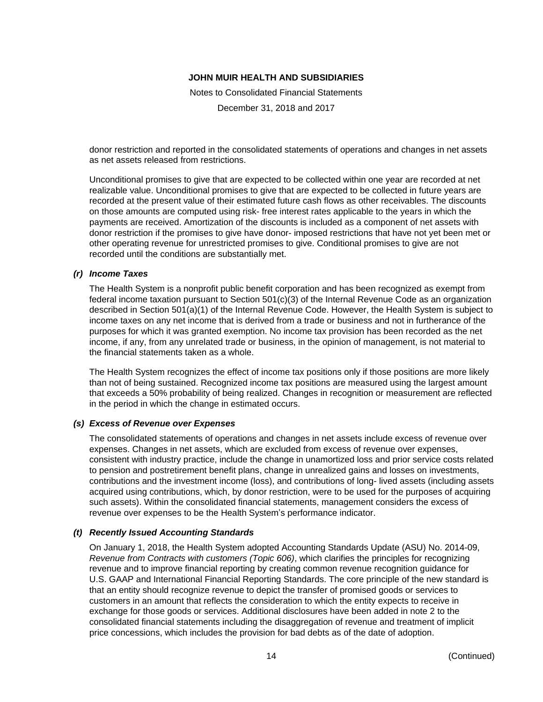Notes to Consolidated Financial Statements

December 31, 2018 and 2017

donor restriction and reported in the consolidated statements of operations and changes in net assets as net assets released from restrictions.

Unconditional promises to give that are expected to be collected within one year are recorded at net realizable value. Unconditional promises to give that are expected to be collected in future years are recorded at the present value of their estimated future cash flows as other receivables. The discounts on those amounts are computed using risk- free interest rates applicable to the years in which the payments are received. Amortization of the discounts is included as a component of net assets with donor restriction if the promises to give have donor- imposed restrictions that have not yet been met or other operating revenue for unrestricted promises to give. Conditional promises to give are not recorded until the conditions are substantially met.

#### *(r) Income Taxes*

The Health System is a nonprofit public benefit corporation and has been recognized as exempt from federal income taxation pursuant to Section 501(c)(3) of the Internal Revenue Code as an organization described in Section 501(a)(1) of the Internal Revenue Code. However, the Health System is subject to income taxes on any net income that is derived from a trade or business and not in furtherance of the purposes for which it was granted exemption. No income tax provision has been recorded as the net income, if any, from any unrelated trade or business, in the opinion of management, is not material to the financial statements taken as a whole.

The Health System recognizes the effect of income tax positions only if those positions are more likely than not of being sustained. Recognized income tax positions are measured using the largest amount that exceeds a 50% probability of being realized. Changes in recognition or measurement are reflected in the period in which the change in estimated occurs.

### *(s) Excess of Revenue over Expenses*

The consolidated statements of operations and changes in net assets include excess of revenue over expenses. Changes in net assets, which are excluded from excess of revenue over expenses, consistent with industry practice, include the change in unamortized loss and prior service costs related to pension and postretirement benefit plans, change in unrealized gains and losses on investments, contributions and the investment income (loss), and contributions of long- lived assets (including assets acquired using contributions, which, by donor restriction, were to be used for the purposes of acquiring such assets). Within the consolidated financial statements, management considers the excess of revenue over expenses to be the Health System's performance indicator.

### *(t) Recently Issued Accounting Standards*

On January 1, 2018, the Health System adopted Accounting Standards Update (ASU) No. 2014-09, *Revenue from Contracts with customers (Topic 606)*, which clarifies the principles for recognizing revenue and to improve financial reporting by creating common revenue recognition guidance for U.S. GAAP and International Financial Reporting Standards. The core principle of the new standard is that an entity should recognize revenue to depict the transfer of promised goods or services to customers in an amount that reflects the consideration to which the entity expects to receive in exchange for those goods or services. Additional disclosures have been added in note 2 to the consolidated financial statements including the disaggregation of revenue and treatment of implicit price concessions, which includes the provision for bad debts as of the date of adoption.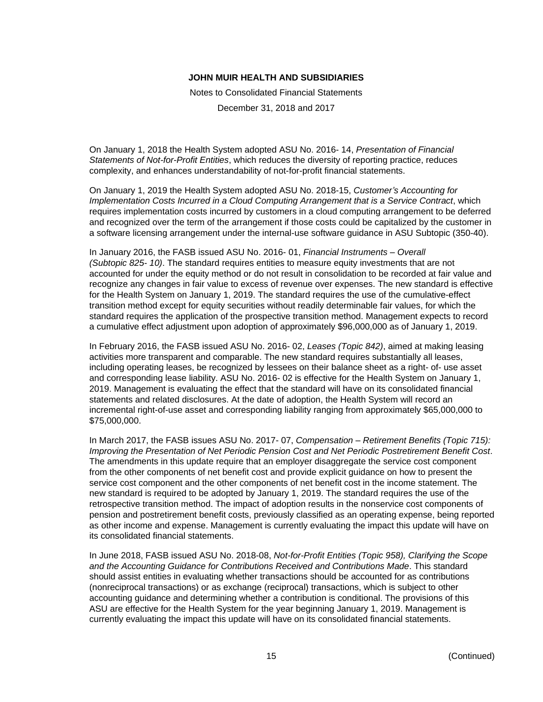Notes to Consolidated Financial Statements

December 31, 2018 and 2017

On January 1, 2018 the Health System adopted ASU No. 2016- 14, *Presentation of Financial Statements of Not-for-Profit Entities*, which reduces the diversity of reporting practice, reduces complexity, and enhances understandability of not-for-profit financial statements.

On January 1, 2019 the Health System adopted ASU No. 2018-15, *Customer's Accounting for Implementation Costs Incurred in a Cloud Computing Arrangement that is a Service Contract*, which requires implementation costs incurred by customers in a cloud computing arrangement to be deferred and recognized over the term of the arrangement if those costs could be capitalized by the customer in a software licensing arrangement under the internal-use software guidance in ASU Subtopic (350-40).

In January 2016, the FASB issued ASU No. 2016- 01, *Financial Instruments – Overall (Subtopic 825- 10)*. The standard requires entities to measure equity investments that are not accounted for under the equity method or do not result in consolidation to be recorded at fair value and recognize any changes in fair value to excess of revenue over expenses. The new standard is effective for the Health System on January 1, 2019. The standard requires the use of the cumulative-effect transition method except for equity securities without readily determinable fair values, for which the standard requires the application of the prospective transition method. Management expects to record a cumulative effect adjustment upon adoption of approximately \$96,000,000 as of January 1, 2019.

In February 2016, the FASB issued ASU No. 2016- 02, *Leases (Topic 842)*, aimed at making leasing activities more transparent and comparable. The new standard requires substantially all leases, including operating leases, be recognized by lessees on their balance sheet as a right- of- use asset and corresponding lease liability. ASU No. 2016- 02 is effective for the Health System on January 1, 2019. Management is evaluating the effect that the standard will have on its consolidated financial statements and related disclosures. At the date of adoption, the Health System will record an incremental right-of-use asset and corresponding liability ranging from approximately \$65,000,000 to \$75,000,000.

In March 2017, the FASB issues ASU No. 2017- 07, *Compensation – Retirement Benefits (Topic 715): Improving the Presentation of Net Periodic Pension Cost and Net Periodic Postretirement Benefit Cost*. The amendments in this update require that an employer disaggregate the service cost component from the other components of net benefit cost and provide explicit guidance on how to present the service cost component and the other components of net benefit cost in the income statement. The new standard is required to be adopted by January 1, 2019. The standard requires the use of the retrospective transition method. The impact of adoption results in the nonservice cost components of pension and postretirement benefit costs, previously classified as an operating expense, being reported as other income and expense. Management is currently evaluating the impact this update will have on its consolidated financial statements.

In June 2018, FASB issued ASU No. 2018-08, *Not-for-Profit Entities (Topic 958), Clarifying the Scope and the Accounting Guidance for Contributions Received and Contributions Made*. This standard should assist entities in evaluating whether transactions should be accounted for as contributions (nonreciprocal transactions) or as exchange (reciprocal) transactions, which is subject to other accounting guidance and determining whether a contribution is conditional. The provisions of this ASU are effective for the Health System for the year beginning January 1, 2019. Management is currently evaluating the impact this update will have on its consolidated financial statements.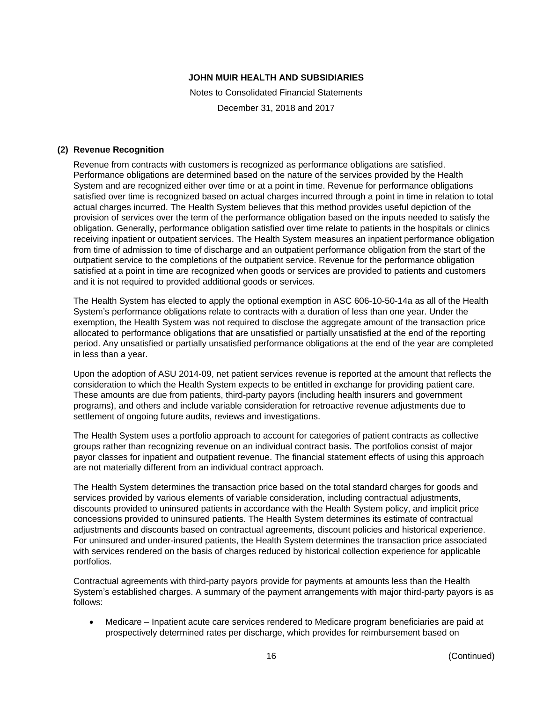Notes to Consolidated Financial Statements

December 31, 2018 and 2017

#### **(2) Revenue Recognition**

Revenue from contracts with customers is recognized as performance obligations are satisfied. Performance obligations are determined based on the nature of the services provided by the Health System and are recognized either over time or at a point in time. Revenue for performance obligations satisfied over time is recognized based on actual charges incurred through a point in time in relation to total actual charges incurred. The Health System believes that this method provides useful depiction of the provision of services over the term of the performance obligation based on the inputs needed to satisfy the obligation. Generally, performance obligation satisfied over time relate to patients in the hospitals or clinics receiving inpatient or outpatient services. The Health System measures an inpatient performance obligation from time of admission to time of discharge and an outpatient performance obligation from the start of the outpatient service to the completions of the outpatient service. Revenue for the performance obligation satisfied at a point in time are recognized when goods or services are provided to patients and customers and it is not required to provided additional goods or services.

The Health System has elected to apply the optional exemption in ASC 606-10-50-14a as all of the Health System's performance obligations relate to contracts with a duration of less than one year. Under the exemption, the Health System was not required to disclose the aggregate amount of the transaction price allocated to performance obligations that are unsatisfied or partially unsatisfied at the end of the reporting period. Any unsatisfied or partially unsatisfied performance obligations at the end of the year are completed in less than a year.

Upon the adoption of ASU 2014-09, net patient services revenue is reported at the amount that reflects the consideration to which the Health System expects to be entitled in exchange for providing patient care. These amounts are due from patients, third-party payors (including health insurers and government programs), and others and include variable consideration for retroactive revenue adjustments due to settlement of ongoing future audits, reviews and investigations.

The Health System uses a portfolio approach to account for categories of patient contracts as collective groups rather than recognizing revenue on an individual contract basis. The portfolios consist of major payor classes for inpatient and outpatient revenue. The financial statement effects of using this approach are not materially different from an individual contract approach.

The Health System determines the transaction price based on the total standard charges for goods and services provided by various elements of variable consideration, including contractual adjustments, discounts provided to uninsured patients in accordance with the Health System policy, and implicit price concessions provided to uninsured patients. The Health System determines its estimate of contractual adjustments and discounts based on contractual agreements, discount policies and historical experience. For uninsured and under-insured patients, the Health System determines the transaction price associated with services rendered on the basis of charges reduced by historical collection experience for applicable portfolios.

Contractual agreements with third-party payors provide for payments at amounts less than the Health System's established charges. A summary of the payment arrangements with major third-party payors is as follows:

 Medicare – Inpatient acute care services rendered to Medicare program beneficiaries are paid at prospectively determined rates per discharge, which provides for reimbursement based on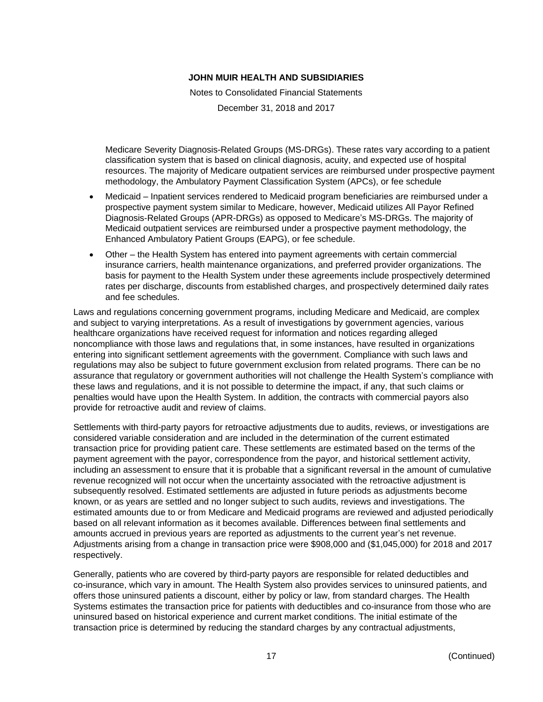Notes to Consolidated Financial Statements

December 31, 2018 and 2017

Medicare Severity Diagnosis-Related Groups (MS-DRGs). These rates vary according to a patient classification system that is based on clinical diagnosis, acuity, and expected use of hospital resources. The majority of Medicare outpatient services are reimbursed under prospective payment methodology, the Ambulatory Payment Classification System (APCs), or fee schedule

- Medicaid Inpatient services rendered to Medicaid program beneficiaries are reimbursed under a prospective payment system similar to Medicare, however, Medicaid utilizes All Payor Refined Diagnosis-Related Groups (APR-DRGs) as opposed to Medicare's MS-DRGs. The majority of Medicaid outpatient services are reimbursed under a prospective payment methodology, the Enhanced Ambulatory Patient Groups (EAPG), or fee schedule.
- Other the Health System has entered into payment agreements with certain commercial insurance carriers, health maintenance organizations, and preferred provider organizations. The basis for payment to the Health System under these agreements include prospectively determined rates per discharge, discounts from established charges, and prospectively determined daily rates and fee schedules.

Laws and regulations concerning government programs, including Medicare and Medicaid, are complex and subject to varying interpretations. As a result of investigations by government agencies, various healthcare organizations have received request for information and notices regarding alleged noncompliance with those laws and regulations that, in some instances, have resulted in organizations entering into significant settlement agreements with the government. Compliance with such laws and regulations may also be subject to future government exclusion from related programs. There can be no assurance that regulatory or government authorities will not challenge the Health System's compliance with these laws and regulations, and it is not possible to determine the impact, if any, that such claims or penalties would have upon the Health System. In addition, the contracts with commercial payors also provide for retroactive audit and review of claims.

Settlements with third-party payors for retroactive adjustments due to audits, reviews, or investigations are considered variable consideration and are included in the determination of the current estimated transaction price for providing patient care. These settlements are estimated based on the terms of the payment agreement with the payor, correspondence from the payor, and historical settlement activity, including an assessment to ensure that it is probable that a significant reversal in the amount of cumulative revenue recognized will not occur when the uncertainty associated with the retroactive adjustment is subsequently resolved. Estimated settlements are adjusted in future periods as adjustments become known, or as years are settled and no longer subject to such audits, reviews and investigations. The estimated amounts due to or from Medicare and Medicaid programs are reviewed and adjusted periodically based on all relevant information as it becomes available. Differences between final settlements and amounts accrued in previous years are reported as adjustments to the current year's net revenue. Adjustments arising from a change in transaction price were \$908,000 and (\$1,045,000) for 2018 and 2017 respectively.

Generally, patients who are covered by third-party payors are responsible for related deductibles and co-insurance, which vary in amount. The Health System also provides services to uninsured patients, and offers those uninsured patients a discount, either by policy or law, from standard charges. The Health Systems estimates the transaction price for patients with deductibles and co-insurance from those who are uninsured based on historical experience and current market conditions. The initial estimate of the transaction price is determined by reducing the standard charges by any contractual adjustments,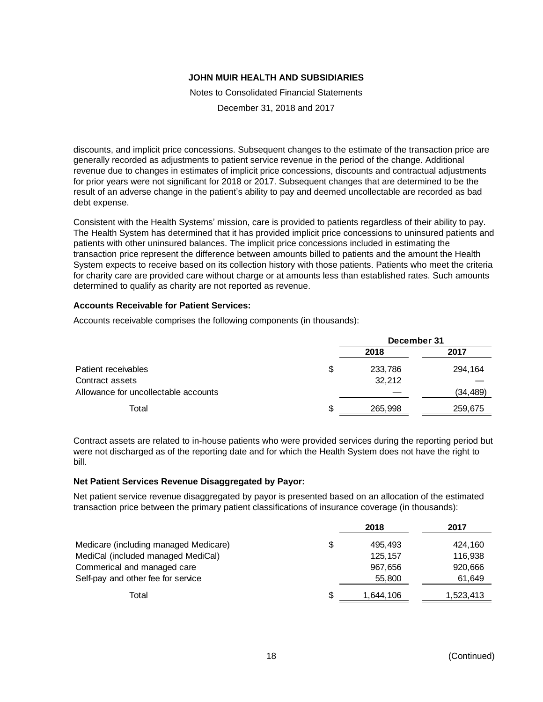Notes to Consolidated Financial Statements

December 31, 2018 and 2017

discounts, and implicit price concessions. Subsequent changes to the estimate of the transaction price are generally recorded as adjustments to patient service revenue in the period of the change. Additional revenue due to changes in estimates of implicit price concessions, discounts and contractual adjustments for prior years were not significant for 2018 or 2017. Subsequent changes that are determined to be the result of an adverse change in the patient's ability to pay and deemed uncollectable are recorded as bad debt expense.

Consistent with the Health Systems' mission, care is provided to patients regardless of their ability to pay. The Health System has determined that it has provided implicit price concessions to uninsured patients and patients with other uninsured balances. The implicit price concessions included in estimating the transaction price represent the difference between amounts billed to patients and the amount the Health System expects to receive based on its collection history with those patients. Patients who meet the criteria for charity care are provided care without charge or at amounts less than established rates. Such amounts determined to qualify as charity are not reported as revenue.

# **Accounts Receivable for Patient Services:**

Accounts receivable comprises the following components (in thousands):

|                                      |     | December 31 |           |  |  |
|--------------------------------------|-----|-------------|-----------|--|--|
|                                      |     | 2018        | 2017      |  |  |
| Patient receivables                  | \$  | 233,786     | 294,164   |  |  |
| Contract assets                      |     | 32,212      |           |  |  |
| Allowance for uncollectable accounts |     |             | (34, 489) |  |  |
| Total                                | \$. | 265,998     | 259,675   |  |  |

Contract assets are related to in-house patients who were provided services during the reporting period but were not discharged as of the reporting date and for which the Health System does not have the right to bill.

### **Net Patient Services Revenue Disaggregated by Payor:**

Net patient service revenue disaggregated by payor is presented based on an allocation of the estimated transaction price between the primary patient classifications of insurance coverage (in thousands):

|                                       |     | 2018      | 2017      |
|---------------------------------------|-----|-----------|-----------|
| Medicare (including managed Medicare) | \$  | 495.493   | 424.160   |
| MediCal (included managed MediCal)    |     | 125,157   | 116,938   |
| Commerical and managed care           |     | 967,656   | 920,666   |
| Self-pay and other fee for service    |     | 55,800    | 61,649    |
| Total                                 | \$. | 1.644.106 | 1,523,413 |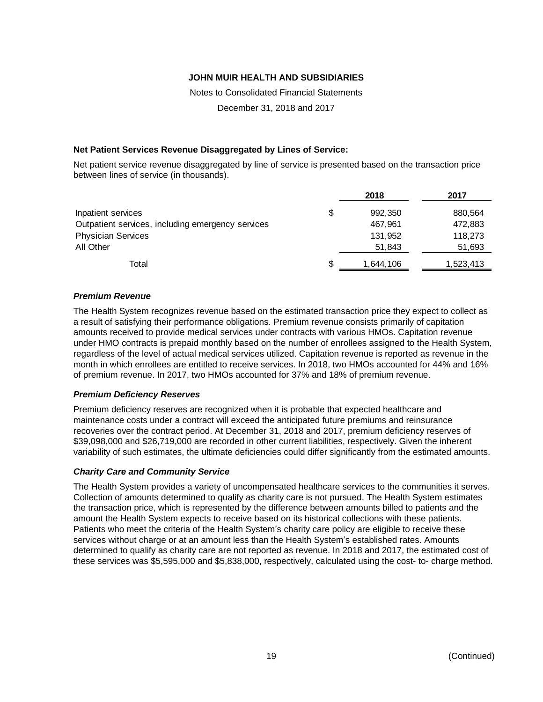Notes to Consolidated Financial Statements

December 31, 2018 and 2017

# **Net Patient Services Revenue Disaggregated by Lines of Service:**

Net patient service revenue disaggregated by line of service is presented based on the transaction price between lines of service (in thousands).

|                                                   |   | 2018      | 2017      |
|---------------------------------------------------|---|-----------|-----------|
| Inpatient services                                | S | 992,350   | 880,564   |
| Outpatient services, including emergency services |   | 467,961   | 472,883   |
| <b>Physician Services</b>                         |   | 131,952   | 118,273   |
| All Other                                         |   | 51,843    | 51,693    |
| Total                                             | S | 1,644,106 | 1,523,413 |

# *Premium Revenue*

The Health System recognizes revenue based on the estimated transaction price they expect to collect as a result of satisfying their performance obligations. Premium revenue consists primarily of capitation amounts received to provide medical services under contracts with various HMOs. Capitation revenue under HMO contracts is prepaid monthly based on the number of enrollees assigned to the Health System, regardless of the level of actual medical services utilized. Capitation revenue is reported as revenue in the month in which enrollees are entitled to receive services. In 2018, two HMOs accounted for 44% and 16% of premium revenue. In 2017, two HMOs accounted for 37% and 18% of premium revenue.

### *Premium Deficiency Reserves*

Premium deficiency reserves are recognized when it is probable that expected healthcare and maintenance costs under a contract will exceed the anticipated future premiums and reinsurance recoveries over the contract period. At December 31, 2018 and 2017, premium deficiency reserves of \$39,098,000 and \$26,719,000 are recorded in other current liabilities, respectively. Given the inherent variability of such estimates, the ultimate deficiencies could differ significantly from the estimated amounts.

### *Charity Care and Community Service*

The Health System provides a variety of uncompensated healthcare services to the communities it serves. Collection of amounts determined to qualify as charity care is not pursued. The Health System estimates the transaction price, which is represented by the difference between amounts billed to patients and the amount the Health System expects to receive based on its historical collections with these patients. Patients who meet the criteria of the Health System's charity care policy are eligible to receive these services without charge or at an amount less than the Health System's established rates. Amounts determined to qualify as charity care are not reported as revenue. In 2018 and 2017, the estimated cost of these services was \$5,595,000 and \$5,838,000, respectively, calculated using the cost- to- charge method.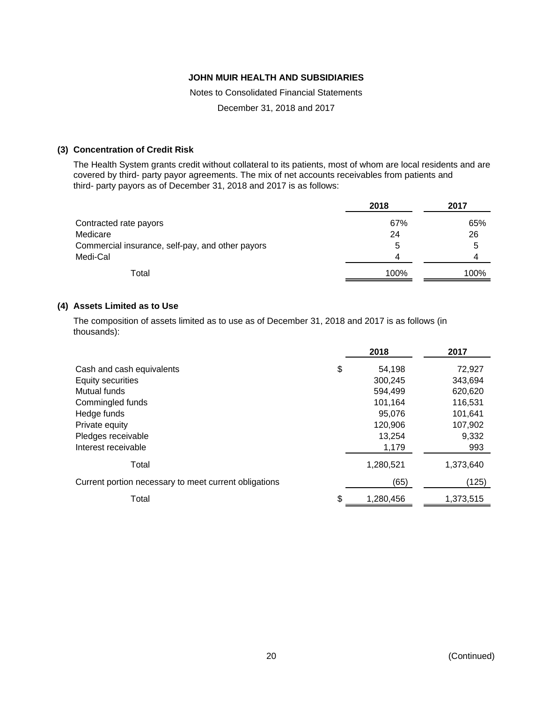Notes to Consolidated Financial Statements

December 31, 2018 and 2017

# **(3) Concentration of Credit Risk**

The Health System grants credit without collateral to its patients, most of whom are local residents and are covered by third- party payor agreements. The mix of net accounts receivables from patients and third- party payors as of December 31, 2018 and 2017 is as follows:

|                                                  | 2018 | 2017 |
|--------------------------------------------------|------|------|
| Contracted rate payors                           | 67%  | 65%  |
| Medicare                                         | 24   | 26   |
| Commercial insurance, self-pay, and other payors | 5    | 5    |
| Medi-Cal                                         | 4    | 4    |
| Total                                            | 100% | 100% |

### **(4) Assets Limited as to Use**

The composition of assets limited as to use as of December 31, 2018 and 2017 is as follows (in thousands):

|                                                       | 2018         | 2017      |
|-------------------------------------------------------|--------------|-----------|
| Cash and cash equivalents                             | \$<br>54,198 | 72,927    |
| Equity securities                                     | 300,245      | 343,694   |
| Mutual funds                                          | 594.499      | 620,620   |
| Commingled funds                                      | 101,164      | 116,531   |
| Hedge funds                                           | 95,076       | 101,641   |
| Private equity                                        | 120,906      | 107,902   |
| Pledges receivable                                    | 13,254       | 9,332     |
| Interest receivable                                   | 1,179        | 993       |
| Total                                                 | 1,280,521    | 1,373,640 |
| Current portion necessary to meet current obligations | (65)         | (125)     |
| Total                                                 | 1,280,456    | 1,373,515 |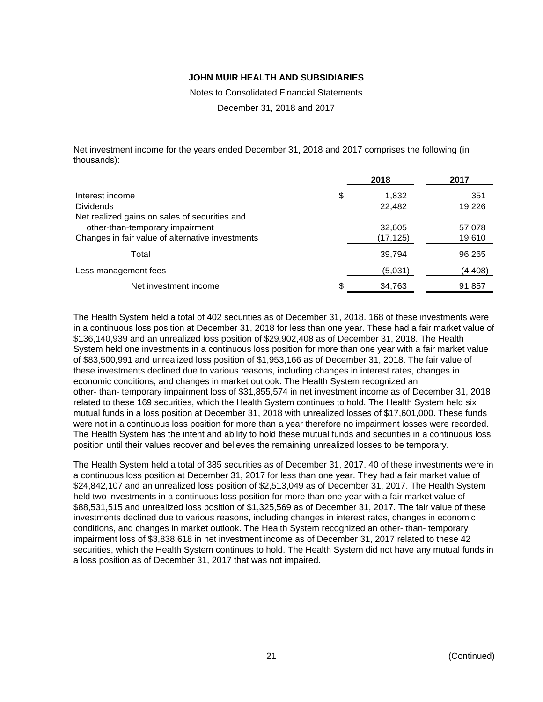Notes to Consolidated Financial Statements

December 31, 2018 and 2017

Net investment income for the years ended December 31, 2018 and 2017 comprises the following (in thousands):

|                                                  |    | 2018      | 2017     |
|--------------------------------------------------|----|-----------|----------|
| Interest income                                  | \$ | 1,832     | 351      |
| <b>Dividends</b>                                 |    | 22,482    | 19,226   |
| Net realized gains on sales of securities and    |    |           |          |
| other-than-temporary impairment                  |    | 32,605    | 57,078   |
| Changes in fair value of alternative investments |    | (17, 125) | 19,610   |
| Total                                            |    | 39,794    | 96,265   |
| Less management fees                             |    | (5,031)   | (4, 408) |
| Net investment income                            | S. | 34,763    | 91,857   |

The Health System held a total of 402 securities as of December 31, 2018. 168 of these investments were in a continuous loss position at December 31, 2018 for less than one year. These had a fair market value of \$136,140,939 and an unrealized loss position of \$29,902,408 as of December 31, 2018. The Health System held one investments in a continuous loss position for more than one year with a fair market value of \$83,500,991 and unrealized loss position of \$1,953,166 as of December 31, 2018. The fair value of these investments declined due to various reasons, including changes in interest rates, changes in economic conditions, and changes in market outlook. The Health System recognized an other- than- temporary impairment loss of \$31,855,574 in net investment income as of December 31, 2018 related to these 169 securities, which the Health System continues to hold. The Health System held six mutual funds in a loss position at December 31, 2018 with unrealized losses of \$17,601,000. These funds were not in a continuous loss position for more than a year therefore no impairment losses were recorded. The Health System has the intent and ability to hold these mutual funds and securities in a continuous loss position until their values recover and believes the remaining unrealized losses to be temporary.

The Health System held a total of 385 securities as of December 31, 2017. 40 of these investments were in a continuous loss position at December 31, 2017 for less than one year. They had a fair market value of \$24,842,107 and an unrealized loss position of \$2,513,049 as of December 31, 2017. The Health System held two investments in a continuous loss position for more than one year with a fair market value of \$88,531,515 and unrealized loss position of \$1,325,569 as of December 31, 2017. The fair value of these investments declined due to various reasons, including changes in interest rates, changes in economic conditions, and changes in market outlook. The Health System recognized an other- than- temporary impairment loss of \$3,838,618 in net investment income as of December 31, 2017 related to these 42 securities, which the Health System continues to hold. The Health System did not have any mutual funds in a loss position as of December 31, 2017 that was not impaired.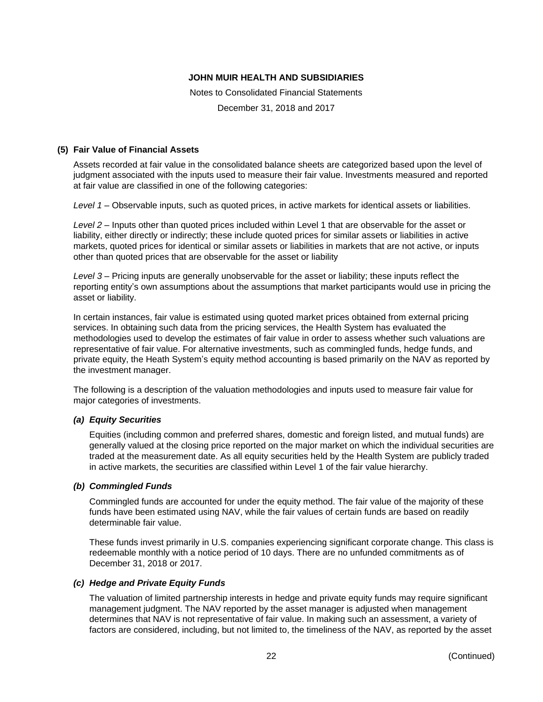Notes to Consolidated Financial Statements

December 31, 2018 and 2017

# **(5) Fair Value of Financial Assets**

Assets recorded at fair value in the consolidated balance sheets are categorized based upon the level of judgment associated with the inputs used to measure their fair value. Investments measured and reported at fair value are classified in one of the following categories:

*Level 1* – Observable inputs, such as quoted prices, in active markets for identical assets or liabilities.

*Level 2* – Inputs other than quoted prices included within Level 1 that are observable for the asset or liability, either directly or indirectly; these include quoted prices for similar assets or liabilities in active markets, quoted prices for identical or similar assets or liabilities in markets that are not active, or inputs other than quoted prices that are observable for the asset or liability

*Level 3* – Pricing inputs are generally unobservable for the asset or liability; these inputs reflect the reporting entity's own assumptions about the assumptions that market participants would use in pricing the asset or liability.

In certain instances, fair value is estimated using quoted market prices obtained from external pricing services. In obtaining such data from the pricing services, the Health System has evaluated the methodologies used to develop the estimates of fair value in order to assess whether such valuations are representative of fair value. For alternative investments, such as commingled funds, hedge funds, and private equity, the Heath System's equity method accounting is based primarily on the NAV as reported by the investment manager.

The following is a description of the valuation methodologies and inputs used to measure fair value for major categories of investments.

# *(a) Equity Securities*

Equities (including common and preferred shares, domestic and foreign listed, and mutual funds) are generally valued at the closing price reported on the major market on which the individual securities are traded at the measurement date. As all equity securities held by the Health System are publicly traded in active markets, the securities are classified within Level 1 of the fair value hierarchy.

### *(b) Commingled Funds*

Commingled funds are accounted for under the equity method. The fair value of the majority of these funds have been estimated using NAV, while the fair values of certain funds are based on readily determinable fair value.

These funds invest primarily in U.S. companies experiencing significant corporate change. This class is redeemable monthly with a notice period of 10 days. There are no unfunded commitments as of December 31, 2018 or 2017.

### *(c) Hedge and Private Equity Funds*

The valuation of limited partnership interests in hedge and private equity funds may require significant management judgment. The NAV reported by the asset manager is adjusted when management determines that NAV is not representative of fair value. In making such an assessment, a variety of factors are considered, including, but not limited to, the timeliness of the NAV, as reported by the asset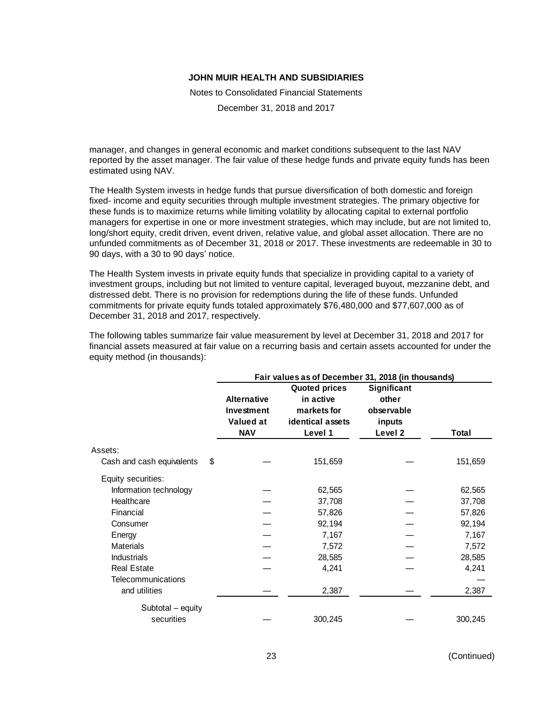Notes to Consolidated Financial Statements

December 31, 2018 and 2017

manager, and changes in general economic and market conditions subsequent to the last NAV reported by the asset manager. The fair value of these hedge funds and private equity funds has been estimated using NAV.

The Health System invests in hedge funds that pursue diversification of both domestic and foreign fixed- income and equity securities through multiple investment strategies. The primary objective for these funds is to maximize returns while limiting volatility by allocating capital to external portfolio managers for expertise in one or more investment strategies, which may include, but are not limited to, long/short equity, credit driven, event driven, relative value, and global asset allocation. There are no unfunded commitments as of December 31, 2018 or 2017. These investments are redeemable in 30 to 90 days, with a 30 to 90 days' notice.

The Health System invests in private equity funds that specialize in providing capital to a variety of investment groups, including but not limited to venture capital, leveraged buyout, mezzanine debt, and distressed debt. There is no provision for redemptions during the life of these funds. Unfunded commitments for private equity funds totaled approximately \$76,480,000 and \$77,607,000 as of December 31, 2018 and 2017, respectively.

The following tables summarize fair value measurement by level at December 31, 2018 and 2017 for financial assets measured at fair value on a recurring basis and certain assets accounted for under the equity method (in thousands):

|                                 | Fair values as of December 31, 2018 (in thousands)          |                                                                                 |                                                                    |         |
|---------------------------------|-------------------------------------------------------------|---------------------------------------------------------------------------------|--------------------------------------------------------------------|---------|
|                                 | <b>Alternative</b><br>Investment<br>Valued at<br><b>NAV</b> | <b>Quoted prices</b><br>in active<br>markets for<br>identical assets<br>Level 1 | Significant<br>other<br>observable<br>inputs<br>Level <sub>2</sub> | Total   |
| Assets:                         |                                                             |                                                                                 |                                                                    |         |
| \$<br>Cash and cash equivalents |                                                             | 151,659                                                                         |                                                                    | 151,659 |
| Equity securities:              |                                                             |                                                                                 |                                                                    |         |
| Information technology          |                                                             | 62,565                                                                          |                                                                    | 62,565  |
| Healthcare                      |                                                             | 37,708                                                                          |                                                                    | 37,708  |
| Financial                       |                                                             | 57,826                                                                          |                                                                    | 57,826  |
| Consumer                        |                                                             | 92,194                                                                          |                                                                    | 92,194  |
| Energy                          |                                                             | 7,167                                                                           |                                                                    | 7,167   |
| <b>Materials</b>                |                                                             | 7,572                                                                           |                                                                    | 7,572   |
| <b>Industrials</b>              |                                                             | 28,585                                                                          |                                                                    | 28,585  |
| <b>Real Estate</b>              |                                                             | 4,241                                                                           |                                                                    | 4,241   |
| Telecommunications              |                                                             |                                                                                 |                                                                    |         |
| and utilities                   |                                                             | 2,387                                                                           |                                                                    | 2,387   |
| Subtotal - equity               |                                                             |                                                                                 |                                                                    |         |
| securities                      |                                                             | 300,245                                                                         |                                                                    | 300,245 |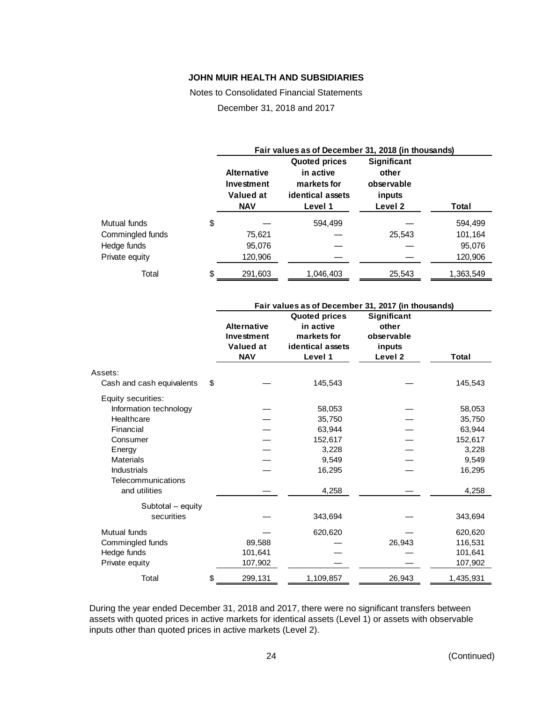Notes to Consolidated Financial Statements

December 31, 2018 and 2017

|                  | Fair values as of December 31, 2018 (in thousands)          |                                                                                 |                                                         |           |
|------------------|-------------------------------------------------------------|---------------------------------------------------------------------------------|---------------------------------------------------------|-----------|
|                  | <b>Alternative</b><br>Investment<br>Valued at<br><b>NAV</b> | <b>Quoted prices</b><br>in active<br>markets for<br>identical assets<br>Level 1 | Significant<br>other<br>observable<br>inputs<br>Level 2 | Total     |
| Mutual funds     | \$                                                          | 594.499                                                                         |                                                         | 594,499   |
| Commingled funds | 75,621                                                      |                                                                                 | 25.543                                                  | 101,164   |
| Hedge funds      | 95,076                                                      |                                                                                 |                                                         | 95,076    |
| Private equity   | 120,906                                                     |                                                                                 |                                                         | 120,906   |
| Total            | \$<br>291,603                                               | 1,046,403                                                                       | 25,543                                                  | 1,363,549 |

|                           | Fair values as of December 31, 2017 (in thousands) |                      |             |           |
|---------------------------|----------------------------------------------------|----------------------|-------------|-----------|
|                           |                                                    | <b>Quoted prices</b> | Significant |           |
|                           | <b>Alternative</b>                                 | in active            | other       |           |
|                           | Investment                                         | markets for          | observable  |           |
|                           | <b>Valued at</b>                                   | identical assets     | inputs      |           |
|                           | <b>NAV</b>                                         | Level 1              | Level 2     | Total     |
| Assets:                   |                                                    |                      |             |           |
| Cash and cash equivalents | \$                                                 | 145,543              |             | 145,543   |
| Equity securities:        |                                                    |                      |             |           |
| Information technology    |                                                    | 58,053               |             | 58,053    |
| Healthcare                |                                                    | 35,750               |             | 35,750    |
| Financial                 |                                                    | 63,944               |             | 63,944    |
| Consumer                  |                                                    | 152,617              |             | 152,617   |
| Energy                    |                                                    | 3,228                |             | 3,228     |
| <b>Materials</b>          |                                                    | 9,549                |             | 9,549     |
| <b>Industrials</b>        |                                                    | 16,295               |             | 16,295    |
| Telecommunications        |                                                    |                      |             |           |
| and utilities             |                                                    | 4,258                |             | 4,258     |
| Subtotal - equity         |                                                    |                      |             |           |
| securities                |                                                    | 343,694              |             | 343,694   |
| Mutual funds              |                                                    | 620,620              |             | 620,620   |
| Commingled funds          | 89,588                                             |                      | 26,943      | 116,531   |
| Hedge funds               | 101,641                                            |                      |             | 101,641   |
| Private equity            | 107,902                                            |                      |             | 107,902   |
| Total                     | \$<br>299,131                                      | 1,109,857            | 26,943      | 1,435,931 |

During the year ended December 31, 2018 and 2017, there were no significant transfers between assets with quoted prices in active markets for identical assets (Level 1) or assets with observable inputs other than quoted prices in active markets (Level 2).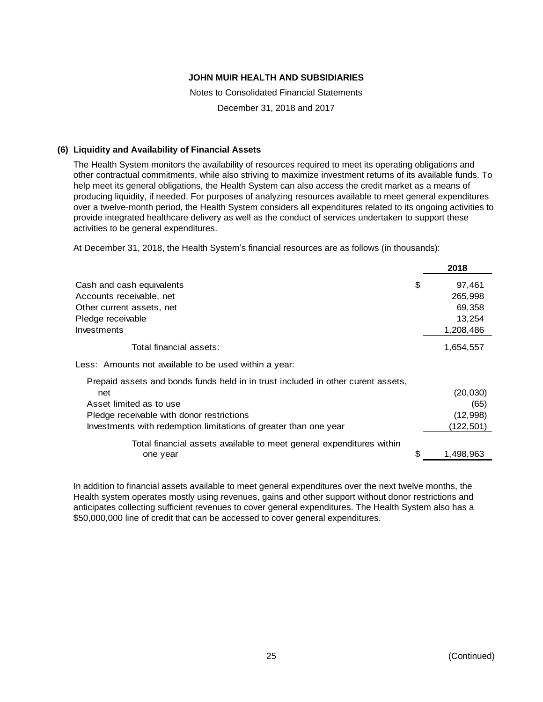Notes to Consolidated Financial Statements

December 31, 2018 and 2017

### **(6) Liquidity and Availability of Financial Assets**

The Health System monitors the availability of resources required to meet its operating obligations and other contractual commitments, while also striving to maximize investment returns of its available funds. To help meet its general obligations, the Health System can also access the credit market as a means of producing liquidity, if needed. For purposes of analyzing resources available to meet general expenditures over a twelve-month period, the Health System considers all expenditures related to its ongoing activities to provide integrated healthcare delivery as well as the conduct of services undertaken to support these activities to be general expenditures.

At December 31, 2018, the Health System's financial resources are as follows (in thousands):

|                                                                                  | 2018         |
|----------------------------------------------------------------------------------|--------------|
| Cash and cash equivalents                                                        | \$<br>97,461 |
| Accounts receivable, net                                                         | 265,998      |
| Other current assets, net                                                        | 69,358       |
| Pledge receivable                                                                | 13,254       |
| Investments                                                                      | 1,208,486    |
| Total financial assets:                                                          | 1,654,557    |
| Less: Amounts not available to be used within a year:                            |              |
| Prepaid assets and bonds funds held in in trust included in other curent assets, |              |
| net                                                                              | (20,030)     |
| Asset limited as to use                                                          | (65)         |
| Pledge receivable with donor restrictions                                        | (12,998)     |
| Investments with redemption limitations of greater than one year                 | (122, 501)   |
| Total financial assets available to meet general expenditures within             |              |
| one year                                                                         | 1,498,963    |
|                                                                                  |              |

In addition to financial assets available to meet general expenditures over the next twelve months, the Health system operates mostly using revenues, gains and other support without donor restrictions and anticipates collecting sufficient revenues to cover general expenditures. The Health System also has a \$50,000,000 line of credit that can be accessed to cover general expenditures.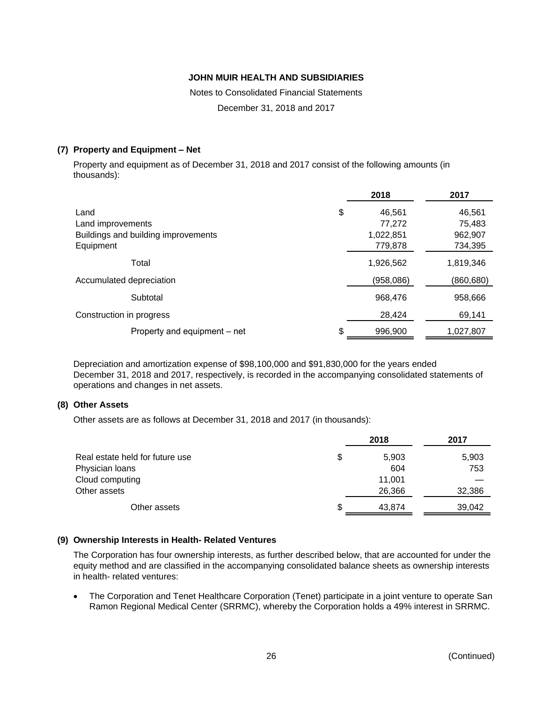Notes to Consolidated Financial Statements

December 31, 2018 and 2017

# **(7) Property and Equipment – Net**

Property and equipment as of December 31, 2018 and 2017 consist of the following amounts (in thousands):

|                                     |     | 2018      | 2017      |
|-------------------------------------|-----|-----------|-----------|
| Land                                | \$  | 46,561    | 46,561    |
| Land improvements                   |     | 77,272    | 75,483    |
| Buildings and building improvements |     | 1,022,851 | 962,907   |
| Equipment                           |     | 779,878   | 734,395   |
| Total                               |     | 1,926,562 | 1,819,346 |
| Accumulated depreciation            |     | (958,086) | (860,680) |
| Subtotal                            |     | 968,476   | 958,666   |
| Construction in progress            |     | 28,424    | 69,141    |
| Property and equipment – net        | \$. | 996,900   | 1,027,807 |

Depreciation and amortization expense of \$98,100,000 and \$91,830,000 for the years ended December 31, 2018 and 2017, respectively, is recorded in the accompanying consolidated statements of operations and changes in net assets.

### **(8) Other Assets**

Other assets are as follows at December 31, 2018 and 2017 (in thousands):

|                                 | 2018         | 2017   |
|---------------------------------|--------------|--------|
| Real estate held for future use | \$<br>5,903  | 5,903  |
| Physician loans                 | 604          | 753    |
| Cloud computing                 | 11.001       |        |
| Other assets                    | 26,366       | 32,386 |
| Other assets                    | \$<br>43,874 | 39,042 |

### **(9) Ownership Interests in Health- Related Ventures**

The Corporation has four ownership interests, as further described below, that are accounted for under the equity method and are classified in the accompanying consolidated balance sheets as ownership interests in health- related ventures:

• The Corporation and Tenet Healthcare Corporation (Tenet) participate in a joint venture to operate San Ramon Regional Medical Center (SRRMC), whereby the Corporation holds a 49% interest in SRRMC.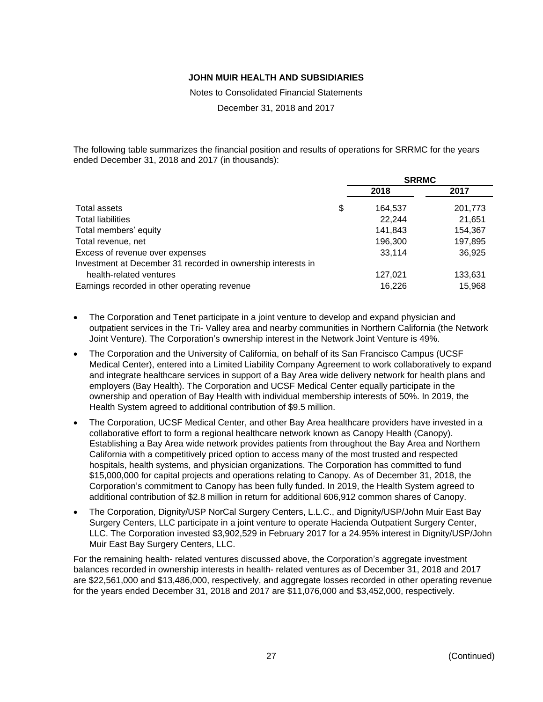Notes to Consolidated Financial Statements

December 31, 2018 and 2017

The following table summarizes the financial position and results of operations for SRRMC for the years ended December 31, 2018 and 2017 (in thousands):

|                                                              | <b>SRRMC</b>  |         |  |
|--------------------------------------------------------------|---------------|---------|--|
|                                                              | 2018          | 2017    |  |
| Total assets                                                 | \$<br>164,537 | 201,773 |  |
| <b>Total liabilities</b>                                     | 22.244        | 21,651  |  |
| Total members' equity                                        | 141,843       | 154,367 |  |
| Total revenue, net                                           | 196,300       | 197,895 |  |
| Excess of revenue over expenses                              | 33,114        | 36,925  |  |
| Investment at December 31 recorded in ownership interests in |               |         |  |
| health-related ventures                                      | 127,021       | 133,631 |  |
| Earnings recorded in other operating revenue                 | 16.226        | 15.968  |  |

- The Corporation and Tenet participate in a joint venture to develop and expand physician and outpatient services in the Tri- Valley area and nearby communities in Northern California (the Network Joint Venture). The Corporation's ownership interest in the Network Joint Venture is 49%.
- The Corporation and the University of California, on behalf of its San Francisco Campus (UCSF Medical Center), entered into a Limited Liability Company Agreement to work collaboratively to expand and integrate healthcare services in support of a Bay Area wide delivery network for health plans and employers (Bay Health). The Corporation and UCSF Medical Center equally participate in the ownership and operation of Bay Health with individual membership interests of 50%. In 2019, the Health System agreed to additional contribution of \$9.5 million.
- The Corporation, UCSF Medical Center, and other Bay Area healthcare providers have invested in a collaborative effort to form a regional healthcare network known as Canopy Health (Canopy). Establishing a Bay Area wide network provides patients from throughout the Bay Area and Northern California with a competitively priced option to access many of the most trusted and respected hospitals, health systems, and physician organizations. The Corporation has committed to fund \$15,000,000 for capital projects and operations relating to Canopy. As of December 31, 2018, the Corporation's commitment to Canopy has been fully funded. In 2019, the Health System agreed to additional contribution of \$2.8 million in return for additional 606,912 common shares of Canopy.
- The Corporation, Dignity/USP NorCal Surgery Centers, L.L.C., and Dignity/USP/John Muir East Bay Surgery Centers, LLC participate in a joint venture to operate Hacienda Outpatient Surgery Center, LLC. The Corporation invested \$3,902,529 in February 2017 for a 24.95% interest in Dignity/USP/John Muir East Bay Surgery Centers, LLC.

For the remaining health- related ventures discussed above, the Corporation's aggregate investment balances recorded in ownership interests in health- related ventures as of December 31, 2018 and 2017 are \$22,561,000 and \$13,486,000, respectively, and aggregate losses recorded in other operating revenue for the years ended December 31, 2018 and 2017 are \$11,076,000 and \$3,452,000, respectively.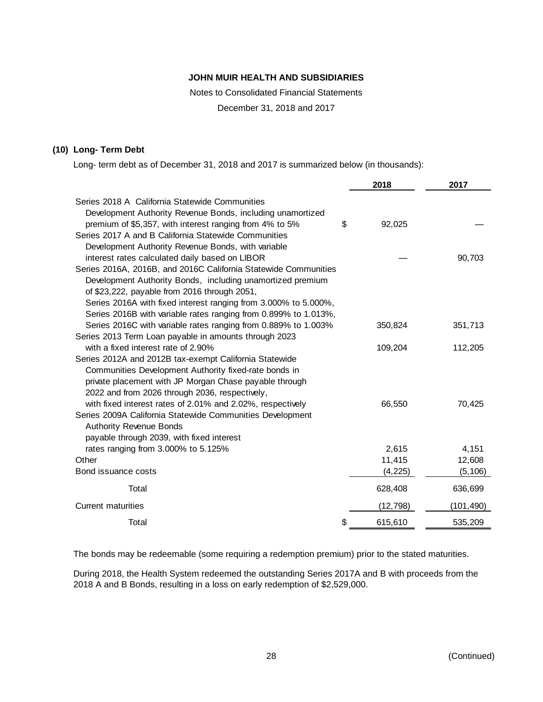Notes to Consolidated Financial Statements

December 31, 2018 and 2017

### **(10) Long- Term Debt**

Long- term debt as of December 31, 2018 and 2017 is summarized below (in thousands):

|                                                                 | 2018          | 2017      |
|-----------------------------------------------------------------|---------------|-----------|
| Series 2018 A California Statewide Communities                  |               |           |
| Development Authority Revenue Bonds, including unamortized      |               |           |
| premium of \$5,357, with interest ranging from 4% to 5%         | \$<br>92,025  |           |
| Series 2017 A and B California Statewide Communities            |               |           |
| Development Authority Revenue Bonds, with variable              |               |           |
| interest rates calculated daily based on LIBOR                  |               | 90,703    |
| Series 2016A, 2016B, and 2016C California Statewide Communities |               |           |
| Development Authority Bonds, including unamortized premium      |               |           |
| of \$23,222, payable from 2016 through 2051,                    |               |           |
| Series 2016A with fixed interest ranging from 3.000% to 5.000%, |               |           |
| Series 2016B with variable rates ranging from 0.899% to 1.013%, |               |           |
| Series 2016C with variable rates ranging from 0.889% to 1.003%  | 350,824       | 351,713   |
| Series 2013 Term Loan payable in amounts through 2023           |               |           |
| with a fixed interest rate of 2.90%                             | 109,204       | 112,205   |
| Series 2012A and 2012B tax-exempt California Statewide          |               |           |
| Communities Development Authority fixed-rate bonds in           |               |           |
| private placement with JP Morgan Chase payable through          |               |           |
| 2022 and from 2026 through 2036, respectively,                  |               |           |
| with fixed interest rates of 2.01% and 2.02%, respectively      | 66,550        | 70,425    |
| Series 2009A California Statewide Communities Development       |               |           |
| <b>Authority Revenue Bonds</b>                                  |               |           |
| payable through 2039, with fixed interest                       |               |           |
| rates ranging from 3.000% to 5.125%                             | 2,615         | 4,151     |
| Other                                                           | 11,415        | 12,608    |
| Bond issuance costs                                             | (4,225)       | (5, 106)  |
| Total                                                           | 628,408       | 636,699   |
| <b>Current maturities</b>                                       | (12, 798)     | (101,490) |
| Total                                                           | \$<br>615,610 | 535,209   |

The bonds may be redeemable (some requiring a redemption premium) prior to the stated maturities.

During 2018, the Health System redeemed the outstanding Series 2017A and B with proceeds from the 2018 A and B Bonds, resulting in a loss on early redemption of \$2,529,000.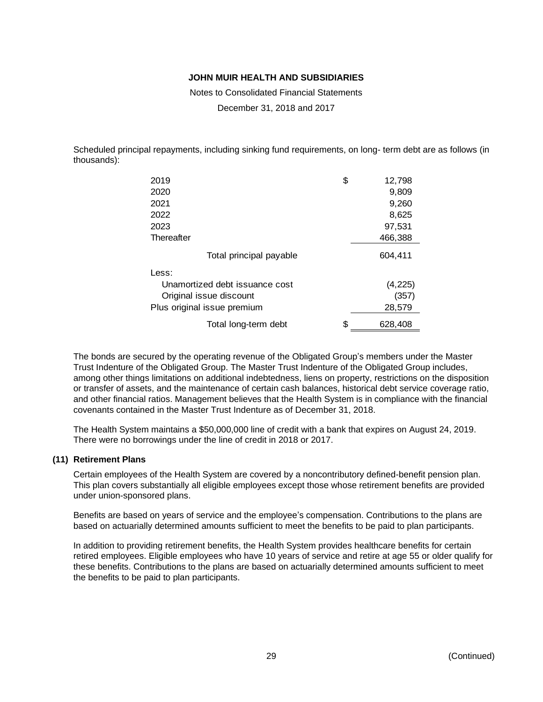Notes to Consolidated Financial Statements

December 31, 2018 and 2017

Scheduled principal repayments, including sinking fund requirements, on long- term debt are as follows (in thousands):

| 2019                           | \$<br>12,798  |
|--------------------------------|---------------|
| 2020                           | 9,809         |
| 2021                           | 9,260         |
| 2022                           | 8,625         |
| 2023                           | 97,531        |
| Thereafter                     | 466,388       |
| Total principal payable        | 604.411       |
| Less:                          |               |
| Unamortized debt issuance cost | (4, 225)      |
| Original issue discount        | (357)         |
| Plus original issue premium    | 28,579        |
| Total long-term debt           | \$<br>628,408 |

The bonds are secured by the operating revenue of the Obligated Group's members under the Master Trust Indenture of the Obligated Group. The Master Trust Indenture of the Obligated Group includes, among other things limitations on additional indebtedness, liens on property, restrictions on the disposition or transfer of assets, and the maintenance of certain cash balances, historical debt service coverage ratio, and other financial ratios. Management believes that the Health System is in compliance with the financial covenants contained in the Master Trust Indenture as of December 31, 2018.

The Health System maintains a \$50,000,000 line of credit with a bank that expires on August 24, 2019. There were no borrowings under the line of credit in 2018 or 2017.

#### **(11) Retirement Plans**

Certain employees of the Health System are covered by a noncontributory defined-benefit pension plan. This plan covers substantially all eligible employees except those whose retirement benefits are provided under union-sponsored plans.

Benefits are based on years of service and the employee's compensation. Contributions to the plans are based on actuarially determined amounts sufficient to meet the benefits to be paid to plan participants.

In addition to providing retirement benefits, the Health System provides healthcare benefits for certain retired employees. Eligible employees who have 10 years of service and retire at age 55 or older qualify for these benefits. Contributions to the plans are based on actuarially determined amounts sufficient to meet the benefits to be paid to plan participants.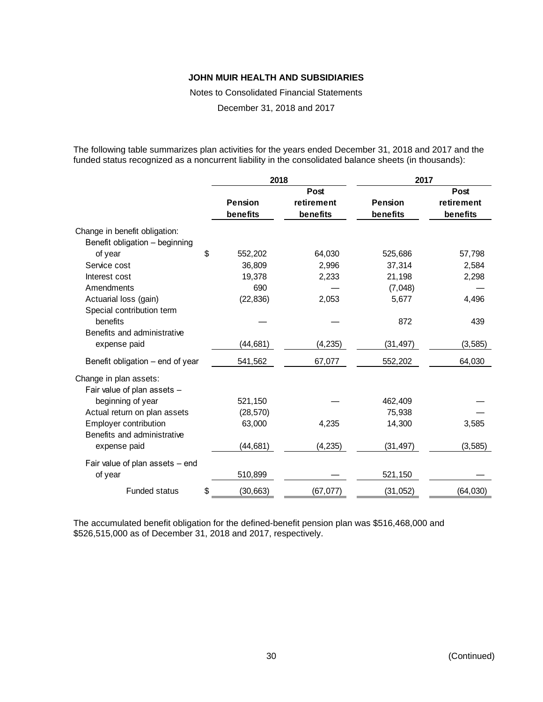Notes to Consolidated Financial Statements

December 31, 2018 and 2017

The following table summarizes plan activities for the years ended December 31, 2018 and 2017 and the funded status recognized as a noncurrent liability in the consolidated balance sheets (in thousands):

|                                  | 2018            |            | 2017           |            |  |  |
|----------------------------------|-----------------|------------|----------------|------------|--|--|
|                                  |                 | Post       |                | Post       |  |  |
|                                  | <b>Pension</b>  | retirement | <b>Pension</b> | retirement |  |  |
|                                  | benefits        | benefits   | benefits       | benefits   |  |  |
| Change in benefit obligation:    |                 |            |                |            |  |  |
| Benefit obligation - beginning   |                 |            |                |            |  |  |
| of year                          | \$<br>552,202   | 64,030     | 525,686        | 57,798     |  |  |
| Service cost                     | 36,809          | 2,996      | 37,314         | 2,584      |  |  |
| Interest cost                    | 19,378          | 2,233      | 21,198         | 2,298      |  |  |
| Amendments                       | 690             |            | (7,048)        |            |  |  |
| Actuarial loss (gain)            | (22, 836)       | 2,053      | 5,677          | 4,496      |  |  |
| Special contribution term        |                 |            |                |            |  |  |
| benefits                         |                 |            | 872            | 439        |  |  |
| Benefits and administrative      |                 |            |                |            |  |  |
| expense paid                     | (44, 681)       | (4, 235)   | (31, 497)      | (3, 585)   |  |  |
| Benefit obligation – end of year | 541,562         | 67,077     | 552,202        | 64,030     |  |  |
| Change in plan assets:           |                 |            |                |            |  |  |
| Fair value of plan assets -      |                 |            |                |            |  |  |
| beginning of year                | 521,150         |            | 462,409        |            |  |  |
| Actual return on plan assets     | (28, 570)       |            | 75,938         |            |  |  |
| <b>Employer contribution</b>     | 63,000          | 4,235      | 14,300         | 3,585      |  |  |
| Benefits and administrative      |                 |            |                |            |  |  |
| expense paid                     | (44, 681)       | (4, 235)   | (31, 497)      | (3, 585)   |  |  |
| Fair value of plan assets - end  |                 |            |                |            |  |  |
| of year                          | 510,899         |            | 521,150        |            |  |  |
| <b>Funded status</b>             | \$<br>(30, 663) | (67, 077)  | (31, 052)      | (64, 030)  |  |  |

The accumulated benefit obligation for the defined-benefit pension plan was \$516,468,000 and \$526,515,000 as of December 31, 2018 and 2017, respectively.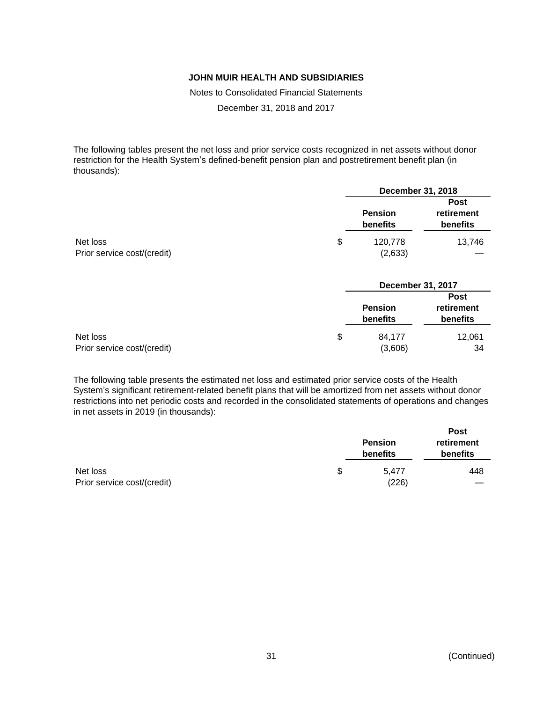Notes to Consolidated Financial Statements

December 31, 2018 and 2017

The following tables present the net loss and prior service costs recognized in net assets without donor restriction for the Health System's defined-benefit pension plan and postretirement benefit plan (in thousands):

|                             | December 31, 2018          |                                              |  |
|-----------------------------|----------------------------|----------------------------------------------|--|
|                             | <b>Pension</b><br>benefits | <b>Post</b><br>retirement<br><b>benefits</b> |  |
| Net loss                    | \$<br>120.778              | 13,746                                       |  |
| Prior service cost/(credit) | (2,633)                    |                                              |  |

| December 31, 2017                 |                                       |  |
|-----------------------------------|---------------------------------------|--|
| <b>Pension</b><br><b>benefits</b> | <b>Post</b><br>retirement<br>benefits |  |
| \$<br>84,177                      | 12,061<br>34                          |  |
|                                   | (3,606)                               |  |

The following table presents the estimated net loss and estimated prior service costs of the Health System's significant retirement-related benefit plans that will be amortized from net assets without donor restrictions into net periodic costs and recorded in the consolidated statements of operations and changes in net assets in 2019 (in thousands):

|                             | <b>Pension</b><br>benefits | <b>Post</b><br>retirement<br>benefits |  |
|-----------------------------|----------------------------|---------------------------------------|--|
| Net loss                    | \$<br>5.477                | 448                                   |  |
| Prior service cost/(credit) | (226)                      |                                       |  |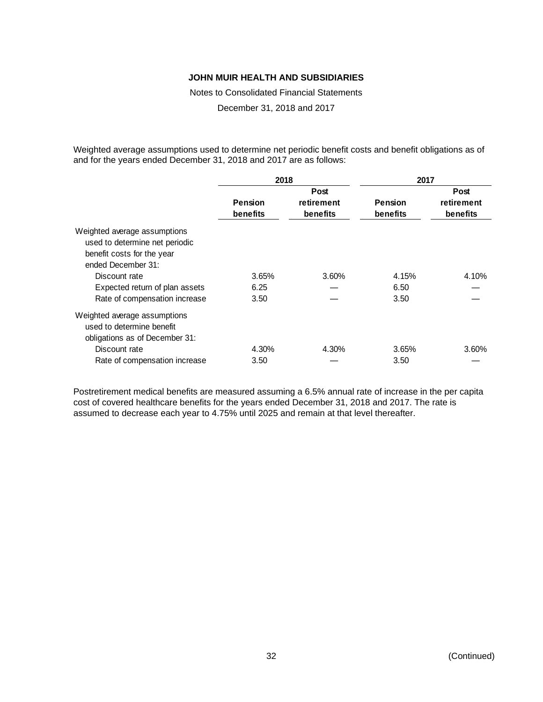Notes to Consolidated Financial Statements

December 31, 2018 and 2017

Weighted average assumptions used to determine net periodic benefit costs and benefit obligations as of and for the years ended December 31, 2018 and 2017 are as follows:

|                                                                                                                    | 2018                                                                                |       | 2017  |                                |  |
|--------------------------------------------------------------------------------------------------------------------|-------------------------------------------------------------------------------------|-------|-------|--------------------------------|--|
|                                                                                                                    | Post<br><b>Pension</b><br>retirement<br>Pension<br>benefits<br>benefits<br>benefits |       |       | Post<br>retirement<br>benefits |  |
| Weighted average assumptions<br>used to determine net periodic<br>benefit costs for the year<br>ended December 31: |                                                                                     |       |       |                                |  |
| Discount rate                                                                                                      | 3.65%                                                                               | 3.60% | 4.15% | 4.10%                          |  |
| Expected return of plan assets                                                                                     | 6.25                                                                                |       | 6.50  |                                |  |
| Rate of compensation increase                                                                                      | 3.50                                                                                |       | 3.50  |                                |  |
| Weighted average assumptions<br>used to determine benefit<br>obligations as of December 31:                        |                                                                                     |       |       |                                |  |
| Discount rate                                                                                                      | 4.30%                                                                               | 4.30% | 3.65% | 3.60%                          |  |
| Rate of compensation increase                                                                                      | 3.50                                                                                |       | 3.50  |                                |  |

Postretirement medical benefits are measured assuming a 6.5% annual rate of increase in the per capita cost of covered healthcare benefits for the years ended December 31, 2018 and 2017. The rate is assumed to decrease each year to 4.75% until 2025 and remain at that level thereafter.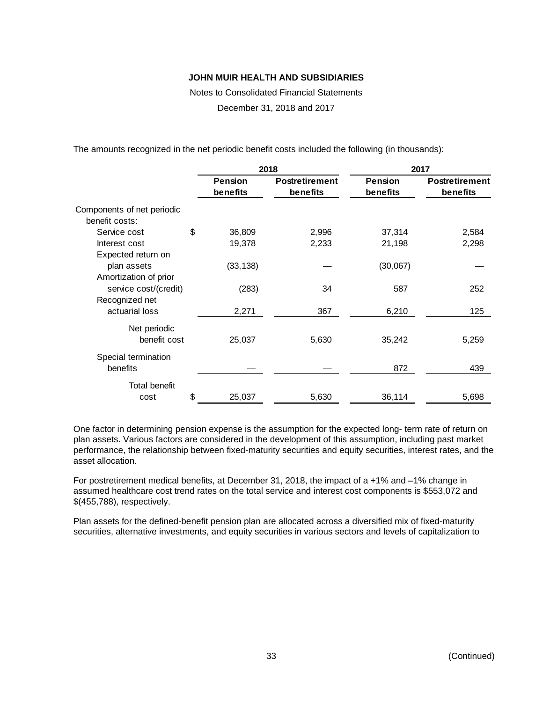Notes to Consolidated Financial Statements

December 31, 2018 and 2017

The amounts recognized in the net periodic benefit costs included the following (in thousands):

|                                                |                | 2018                  | 2017           |                       |  |  |
|------------------------------------------------|----------------|-----------------------|----------------|-----------------------|--|--|
|                                                | <b>Pension</b> | <b>Postretirement</b> | <b>Pension</b> | <b>Postretirement</b> |  |  |
|                                                | benefits       | benefits              | benefits       | benefits              |  |  |
| Components of net periodic<br>benefit costs:   |                |                       |                |                       |  |  |
| Service cost                                   | \$<br>36,809   | 2,996                 | 37,314         | 2,584                 |  |  |
| Interest cost                                  | 19,378         | 2,233                 | 21,198         | 2,298                 |  |  |
| Expected return on<br>plan assets              | (33, 138)      |                       | (30,067)       |                       |  |  |
| Amortization of prior<br>service cost/(credit) | (283)          | 34                    | 587            | 252                   |  |  |
| Recognized net<br>actuarial loss               | 2,271          | 367                   | 6,210          | 125                   |  |  |
| Net periodic<br>benefit cost                   | 25,037         | 5,630                 | 35,242         | 5,259                 |  |  |
| Special termination<br>benefits                |                |                       | 872            | 439                   |  |  |
| <b>Total benefit</b><br>cost                   | \$<br>25,037   | 5,630                 | 36,114         | 5,698                 |  |  |

One factor in determining pension expense is the assumption for the expected long- term rate of return on plan assets. Various factors are considered in the development of this assumption, including past market performance, the relationship between fixed-maturity securities and equity securities, interest rates, and the asset allocation.

For postretirement medical benefits, at December 31, 2018, the impact of a +1% and –1% change in assumed healthcare cost trend rates on the total service and interest cost components is \$553,072 and \$(455,788), respectively.

Plan assets for the defined-benefit pension plan are allocated across a diversified mix of fixed-maturity securities, alternative investments, and equity securities in various sectors and levels of capitalization to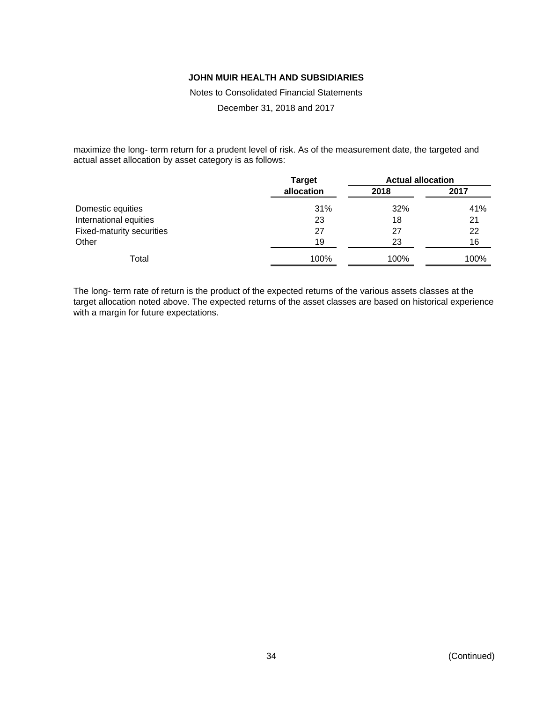Notes to Consolidated Financial Statements

December 31, 2018 and 2017

maximize the long- term return for a prudent level of risk. As of the measurement date, the targeted and actual asset allocation by asset category is as follows:

|                           | <b>Target</b> | <b>Actual allocation</b> |             |  |
|---------------------------|---------------|--------------------------|-------------|--|
|                           | allocation    | 2018                     | 2017<br>41% |  |
| Domestic equities         | 31%           | 32%                      |             |  |
| International equities    | 23            | 18                       | 21          |  |
| Fixed-maturity securities | 27            | 27                       | 22          |  |
| Other                     | 19            | 23                       | 16          |  |
| Total                     | 100%          | 100%                     | 100%        |  |

The long- term rate of return is the product of the expected returns of the various assets classes at the target allocation noted above. The expected returns of the asset classes are based on historical experience with a margin for future expectations.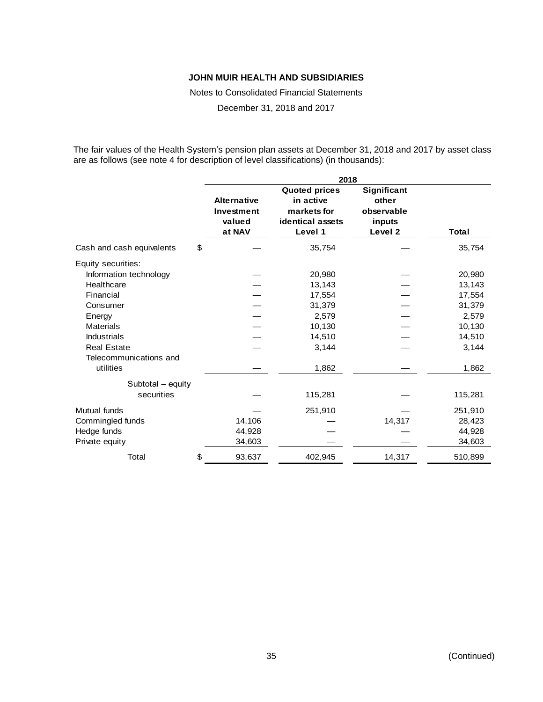Notes to Consolidated Financial Statements

December 31, 2018 and 2017

The fair values of the Health System's pension plan assets at December 31, 2018 and 2017 by asset class are as follows (see note 4 for description of level classifications) (in thousands):

|                           |    | 2018   |                                                                                 |                                                                    |         |  |  |  |
|---------------------------|----|--------|---------------------------------------------------------------------------------|--------------------------------------------------------------------|---------|--|--|--|
|                           |    |        | <b>Quoted prices</b><br>in active<br>markets for<br>identical assets<br>Level 1 | Significant<br>other<br>observable<br>inputs<br>Level <sub>2</sub> | Total   |  |  |  |
| Cash and cash equivalents | \$ |        | 35,754                                                                          |                                                                    | 35,754  |  |  |  |
| Equity securities:        |    |        |                                                                                 |                                                                    |         |  |  |  |
| Information technology    |    |        | 20,980                                                                          |                                                                    | 20,980  |  |  |  |
| Healthcare                |    |        | 13,143                                                                          |                                                                    | 13,143  |  |  |  |
| Financial                 |    |        | 17,554                                                                          |                                                                    | 17,554  |  |  |  |
| Consumer                  |    |        | 31,379                                                                          |                                                                    | 31,379  |  |  |  |
| Energy                    |    |        | 2,579                                                                           |                                                                    | 2,579   |  |  |  |
| <b>Materials</b>          |    |        | 10,130                                                                          |                                                                    | 10,130  |  |  |  |
| <b>Industrials</b>        |    |        | 14,510                                                                          |                                                                    | 14,510  |  |  |  |
| <b>Real Estate</b>        |    |        | 3,144                                                                           |                                                                    | 3,144   |  |  |  |
| Telecommunications and    |    |        |                                                                                 |                                                                    |         |  |  |  |
| utilities                 |    |        | 1,862                                                                           |                                                                    | 1,862   |  |  |  |
| Subtotal - equity         |    |        |                                                                                 |                                                                    |         |  |  |  |
| securities                |    |        | 115,281                                                                         |                                                                    | 115,281 |  |  |  |
| Mutual funds              |    |        | 251,910                                                                         |                                                                    | 251,910 |  |  |  |
| Commingled funds          |    | 14,106 |                                                                                 | 14,317                                                             | 28,423  |  |  |  |
| Hedge funds               |    | 44,928 |                                                                                 |                                                                    | 44,928  |  |  |  |
| Private equity            |    | 34,603 |                                                                                 |                                                                    | 34,603  |  |  |  |
| Total                     | \$ | 93,637 | 402,945                                                                         | 14,317                                                             | 510,899 |  |  |  |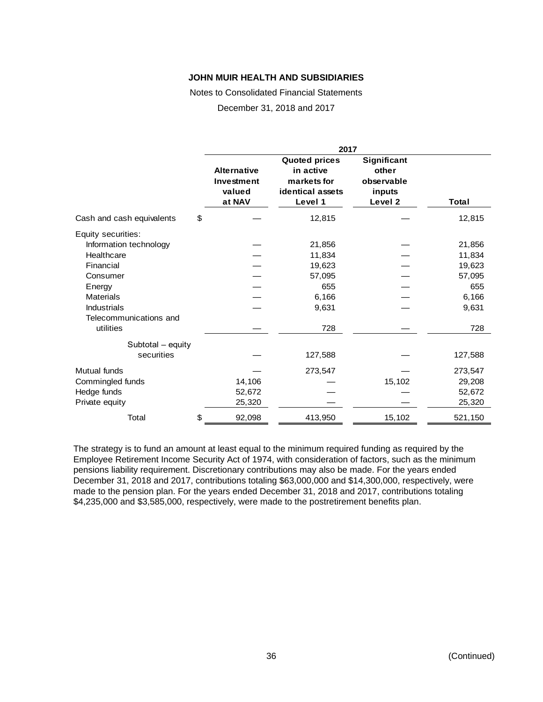Notes to Consolidated Financial Statements

December 31, 2018 and 2017

|                           |    | 2017                                                 |                                                                                        |                                                         |         |  |  |  |
|---------------------------|----|------------------------------------------------------|----------------------------------------------------------------------------------------|---------------------------------------------------------|---------|--|--|--|
|                           |    | <b>Alternative</b><br>Investment<br>valued<br>at NAV | <b>Quoted prices</b><br>in active<br>markets for<br><b>identical assets</b><br>Level 1 | Significant<br>other<br>observable<br>inputs<br>Level 2 | Total   |  |  |  |
| Cash and cash equivalents | \$ |                                                      | 12,815                                                                                 |                                                         | 12,815  |  |  |  |
| Equity securities:        |    |                                                      |                                                                                        |                                                         |         |  |  |  |
| Information technology    |    |                                                      | 21,856                                                                                 |                                                         | 21,856  |  |  |  |
| Healthcare                |    |                                                      | 11,834                                                                                 |                                                         | 11,834  |  |  |  |
| Financial                 |    |                                                      | 19,623                                                                                 |                                                         | 19,623  |  |  |  |
| Consumer                  |    |                                                      | 57,095                                                                                 |                                                         | 57,095  |  |  |  |
| Energy                    |    |                                                      | 655                                                                                    |                                                         | 655     |  |  |  |
| <b>Materials</b>          |    |                                                      | 6,166                                                                                  |                                                         | 6,166   |  |  |  |
| <b>Industrials</b>        |    |                                                      | 9,631                                                                                  |                                                         | 9,631   |  |  |  |
| Telecommunications and    |    |                                                      |                                                                                        |                                                         |         |  |  |  |
| utilities                 |    |                                                      | 728                                                                                    |                                                         | 728     |  |  |  |
| Subtotal - equity         |    |                                                      |                                                                                        |                                                         |         |  |  |  |
| securities                |    |                                                      | 127,588                                                                                |                                                         | 127,588 |  |  |  |
| Mutual funds              |    |                                                      | 273,547                                                                                |                                                         | 273,547 |  |  |  |
| Commingled funds          |    | 14,106                                               |                                                                                        | 15,102                                                  | 29,208  |  |  |  |
| Hedge funds               |    | 52,672                                               |                                                                                        |                                                         | 52,672  |  |  |  |
| Private equity            |    | 25,320                                               |                                                                                        |                                                         | 25,320  |  |  |  |
| Total                     | \$ | 92,098                                               | 413,950                                                                                | 15,102                                                  | 521,150 |  |  |  |

The strategy is to fund an amount at least equal to the minimum required funding as required by the Employee Retirement Income Security Act of 1974, with consideration of factors, such as the minimum pensions liability requirement. Discretionary contributions may also be made. For the years ended December 31, 2018 and 2017, contributions totaling \$63,000,000 and \$14,300,000, respectively, were made to the pension plan. For the years ended December 31, 2018 and 2017, contributions totaling \$4,235,000 and \$3,585,000, respectively, were made to the postretirement benefits plan.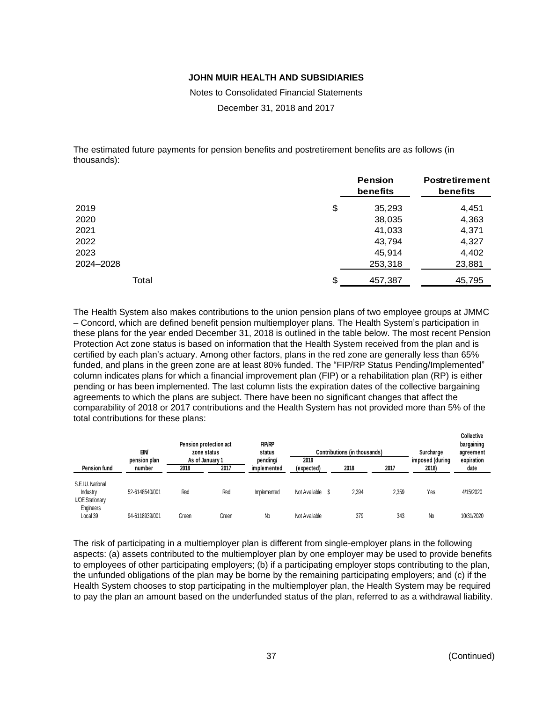Notes to Consolidated Financial Statements

December 31, 2018 and 2017

The estimated future payments for pension benefits and postretirement benefits are as follows (in thousands):

|           |    | <b>Pension</b><br>benefits | <b>Postretirement</b><br>benefits |  |
|-----------|----|----------------------------|-----------------------------------|--|
| 2019      | \$ | 35,293                     | 4,451                             |  |
| 2020      |    | 38,035                     | 4,363                             |  |
| 2021      |    | 41,033                     | 4,371                             |  |
| 2022      |    | 43,794                     | 4,327                             |  |
| 2023      |    | 45,914                     | 4,402                             |  |
| 2024-2028 |    | 253,318                    | 23,881                            |  |
| Total     | S  | 457,387                    | 45,795                            |  |

The Health System also makes contributions to the union pension plans of two employee groups at JMMC – Concord, which are defined benefit pension multiemployer plans. The Health System's participation in these plans for the year ended December 31, 2018 is outlined in the table below. The most recent Pension Protection Act zone status is based on information that the Health System received from the plan and is certified by each plan's actuary. Among other factors, plans in the red zone are generally less than 65% funded, and plans in the green zone are at least 80% funded. The "FIP/RP Status Pending/Implemented" column indicates plans for which a financial improvement plan (FIP) or a rehabilitation plan (RP) is either pending or has been implemented. The last column lists the expiration dates of the collective bargaining agreements to which the plans are subject. There have been no significant changes that affect the comparability of 2018 or 2017 contributions and the Health System has not provided more than 5% of the total contributions for these plans:

|                                                         | <b>EIN</b>             |                         | Pension protection act<br>zone status | <b>FIP/RP</b><br>status |                    | Contributions (in thousands) |       | Surcharge                | <b>Collective</b><br>bargaining<br>agreement |
|---------------------------------------------------------|------------------------|-------------------------|---------------------------------------|-------------------------|--------------------|------------------------------|-------|--------------------------|----------------------------------------------|
| Pension fund                                            | pension plan<br>number | As of January 1<br>2018 | 2017                                  | pending/<br>implemented | 2019<br>(expected) | 2018                         | 2017  | imposed (during<br>2018) | expiration<br>date                           |
| S.E.I.U. National<br>Industry<br><b>IUOE Stationary</b> | 52-6148540/001         | Red                     | Red                                   | Implemented             | Not Available \$   | 2.394                        | 2.359 | Yes                      | 4/15/2020                                    |
| Engineers<br>Local 39                                   | 94-6118939/001         | Green                   | Green                                 | No                      | Not Available      | 379                          | 343   | No                       | 10/31/2020                                   |

The risk of participating in a multiemployer plan is different from single-employer plans in the following aspects: (a) assets contributed to the multiemployer plan by one employer may be used to provide benefits to employees of other participating employers; (b) if a participating employer stops contributing to the plan, the unfunded obligations of the plan may be borne by the remaining participating employers; and (c) if the Health System chooses to stop participating in the multiemployer plan, the Health System may be required to pay the plan an amount based on the underfunded status of the plan, referred to as a withdrawal liability.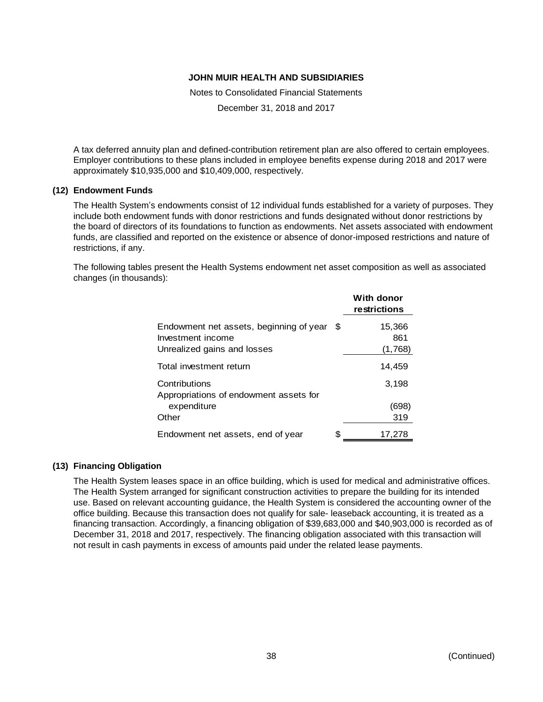Notes to Consolidated Financial Statements

December 31, 2018 and 2017

A tax deferred annuity plan and defined-contribution retirement plan are also offered to certain employees. Employer contributions to these plans included in employee benefits expense during 2018 and 2017 were approximately \$10,935,000 and \$10,409,000, respectively.

#### **(12) Endowment Funds**

The Health System's endowments consist of 12 individual funds established for a variety of purposes. They include both endowment funds with donor restrictions and funds designated without donor restrictions by the board of directors of its foundations to function as endowments. Net assets associated with endowment funds, are classified and reported on the existence or absence of donor-imposed restrictions and nature of restrictions, if any.

The following tables present the Health Systems endowment net asset composition as well as associated changes (in thousands):

|                                                                                                |   | With donor<br>restrictions |
|------------------------------------------------------------------------------------------------|---|----------------------------|
| Endowment net assets, beginning of year \$<br>Investment income<br>Unrealized gains and losses |   | 15,366<br>861<br>(1,768)   |
| Total investment return                                                                        |   | 14,459                     |
| Contributions<br>Appropriations of endowment assets for                                        |   | 3,198                      |
| expenditure<br>Other                                                                           |   | (698)<br>319               |
| Endowment net assets, end of year                                                              | S | 17.278                     |

### **(13) Financing Obligation**

The Health System leases space in an office building, which is used for medical and administrative offices. The Health System arranged for significant construction activities to prepare the building for its intended use. Based on relevant accounting guidance, the Health System is considered the accounting owner of the office building. Because this transaction does not qualify for sale- leaseback accounting, it is treated as a financing transaction. Accordingly, a financing obligation of \$39,683,000 and \$40,903,000 is recorded as of December 31, 2018 and 2017, respectively. The financing obligation associated with this transaction will not result in cash payments in excess of amounts paid under the related lease payments.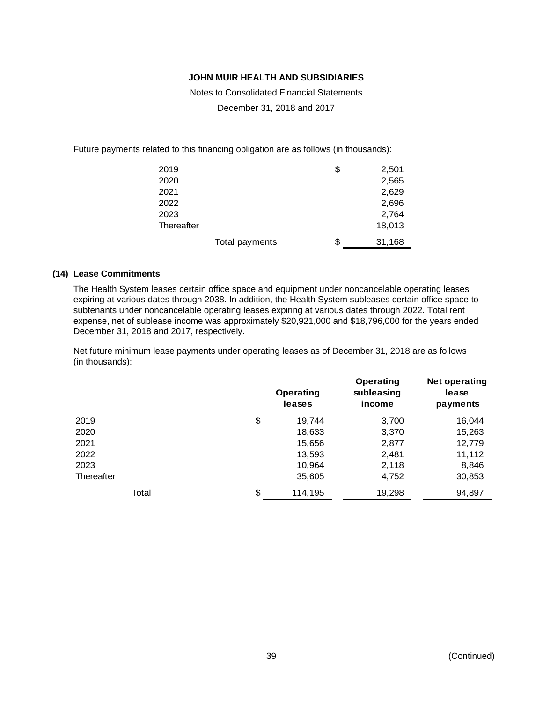Notes to Consolidated Financial Statements

December 31, 2018 and 2017

Future payments related to this financing obligation are as follows (in thousands):

| 2019       |                | \$<br>2,501  |
|------------|----------------|--------------|
| 2020       |                | 2,565        |
| 2021       |                | 2,629        |
| 2022       |                | 2,696        |
| 2023       |                | 2,764        |
| Thereafter |                | 18,013       |
|            | Total payments | \$<br>31,168 |

#### **(14) Lease Commitments**

The Health System leases certain office space and equipment under noncancelable operating leases expiring at various dates through 2038. In addition, the Health System subleases certain office space to subtenants under noncancelable operating leases expiring at various dates through 2022. Total rent expense, net of sublease income was approximately \$20,921,000 and \$18,796,000 for the years ended December 31, 2018 and 2017, respectively.

Net future minimum lease payments under operating leases as of December 31, 2018 are as follows (in thousands):

|            | <b>Operating</b><br>leases | <b>Operating</b><br>subleasing<br>income | Net operating<br>lease<br>payments |
|------------|----------------------------|------------------------------------------|------------------------------------|
| 2019       | \$<br>19,744               | 3,700                                    | 16,044                             |
| 2020       | 18,633                     | 3,370                                    | 15,263                             |
| 2021       | 15,656                     | 2,877                                    | 12,779                             |
| 2022       | 13,593                     | 2,481                                    | 11,112                             |
| 2023       | 10,964                     | 2,118                                    | 8,846                              |
| Thereafter | 35,605                     | 4,752                                    | 30,853                             |
| Total      | \$<br>114,195              | 19,298                                   | 94,897                             |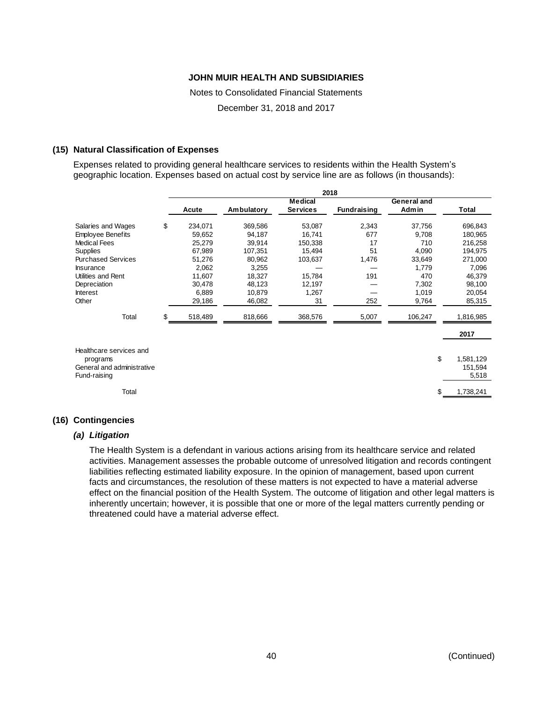Notes to Consolidated Financial Statements

December 31, 2018 and 2017

### **(15) Natural Classification of Expenses**

Expenses related to providing general healthcare services to residents within the Health System's geographic location. Expenses based on actual cost by service line are as follows (in thousands):

|                                            |               |            | 2018            |                    |             |                  |
|--------------------------------------------|---------------|------------|-----------------|--------------------|-------------|------------------|
|                                            |               |            | <b>Medical</b>  |                    | General and |                  |
|                                            | Acute         | Ambulatory | <b>Services</b> | <b>Fundraising</b> | Admin       | Total            |
| Salaries and Wages                         | \$<br>234,071 | 369,586    | 53,087          | 2,343              | 37,756      | 696,843          |
| <b>Employee Benefits</b>                   | 59,652        | 94,187     | 16,741          | 677                | 9,708       | 180,965          |
| Medical Fees                               | 25,279        | 39,914     | 150,338         | 17                 | 710         | 216,258          |
| <b>Supplies</b>                            | 67,989        | 107,351    | 15,494          | 51                 | 4,090       | 194,975          |
| <b>Purchased Services</b>                  | 51,276        | 80,962     | 103,637         | 1,476              | 33,649      | 271,000          |
| Insurance                                  | 2,062         | 3,255      |                 |                    | 1,779       | 7,096            |
| Utilities and Rent                         | 11,607        | 18,327     | 15,784          | 191                | 470         | 46,379           |
| Depreciation                               | 30,478        | 48,123     | 12,197          |                    | 7,302       | 98,100           |
| Interest                                   | 6,889         | 10,879     | 1,267           |                    | 1,019       | 20,054           |
| Other                                      | 29,186        | 46,082     | 31              | 252                | 9,764       | 85,315           |
| Total                                      | \$<br>518,489 | 818,666    | 368,576         | 5,007              | 106,247     | 1,816,985        |
|                                            |               |            |                 |                    |             | 2017             |
|                                            |               |            |                 |                    |             |                  |
| Healthcare services and<br>programs        |               |            |                 |                    | \$          | 1,581,129        |
| General and administrative<br>Fund-raising |               |            |                 |                    |             | 151,594<br>5,518 |
| Total                                      |               |            |                 |                    |             | 1,738,241        |

# **(16) Contingencies**

# *(a) Litigation*

The Health System is a defendant in various actions arising from its healthcare service and related activities. Management assesses the probable outcome of unresolved litigation and records contingent liabilities reflecting estimated liability exposure. In the opinion of management, based upon current facts and circumstances, the resolution of these matters is not expected to have a material adverse effect on the financial position of the Health System. The outcome of litigation and other legal matters is inherently uncertain; however, it is possible that one or more of the legal matters currently pending or threatened could have a material adverse effect.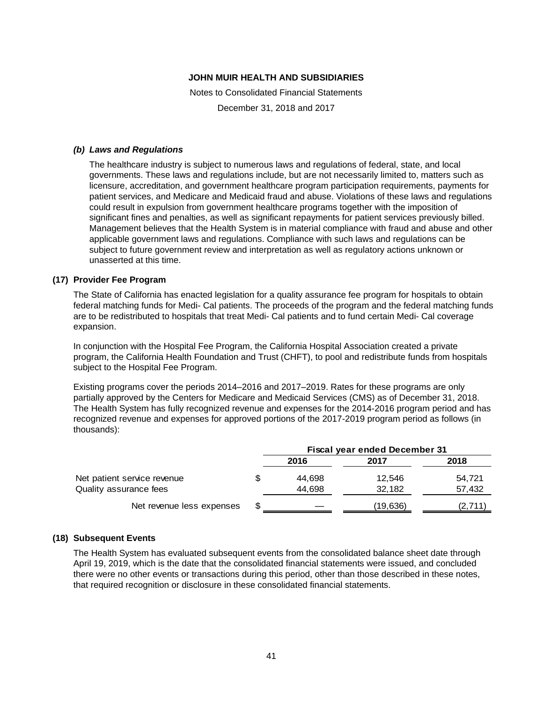Notes to Consolidated Financial Statements

December 31, 2018 and 2017

#### *(b) Laws and Regulations*

The healthcare industry is subject to numerous laws and regulations of federal, state, and local governments. These laws and regulations include, but are not necessarily limited to, matters such as licensure, accreditation, and government healthcare program participation requirements, payments for patient services, and Medicare and Medicaid fraud and abuse. Violations of these laws and regulations could result in expulsion from government healthcare programs together with the imposition of significant fines and penalties, as well as significant repayments for patient services previously billed. Management believes that the Health System is in material compliance with fraud and abuse and other applicable government laws and regulations. Compliance with such laws and regulations can be subject to future government review and interpretation as well as regulatory actions unknown or unasserted at this time.

### **(17) Provider Fee Program**

The State of California has enacted legislation for a quality assurance fee program for hospitals to obtain federal matching funds for Medi- Cal patients. The proceeds of the program and the federal matching funds are to be redistributed to hospitals that treat Medi- Cal patients and to fund certain Medi- Cal coverage expansion.

In conjunction with the Hospital Fee Program, the California Hospital Association created a private program, the California Health Foundation and Trust (CHFT), to pool and redistribute funds from hospitals subject to the Hospital Fee Program.

Existing programs cover the periods 2014–2016 and 2017–2019. Rates for these programs are only partially approved by the Centers for Medicare and Medicaid Services (CMS) as of December 31, 2018. The Health System has fully recognized revenue and expenses for the 2014-2016 program period and has recognized revenue and expenses for approved portions of the 2017-2019 program period as follows (in thousands):

|                             | <b>Fiscal year ended December 31</b> |          |        |  |  |
|-----------------------------|--------------------------------------|----------|--------|--|--|
|                             | 2016                                 | 2017     | 2018   |  |  |
| Net patient service revenue | 44.698                               | 12.546   | 54.721 |  |  |
| Quality assurance fees      | 44.698                               | 32.182   | 57,432 |  |  |
| Net revenue less expenses   |                                      | (19,636) | (2,711 |  |  |

### **(18) Subsequent Events**

The Health System has evaluated subsequent events from the consolidated balance sheet date through April 19, 2019, which is the date that the consolidated financial statements were issued, and concluded there were no other events or transactions during this period, other than those described in these notes, that required recognition or disclosure in these consolidated financial statements.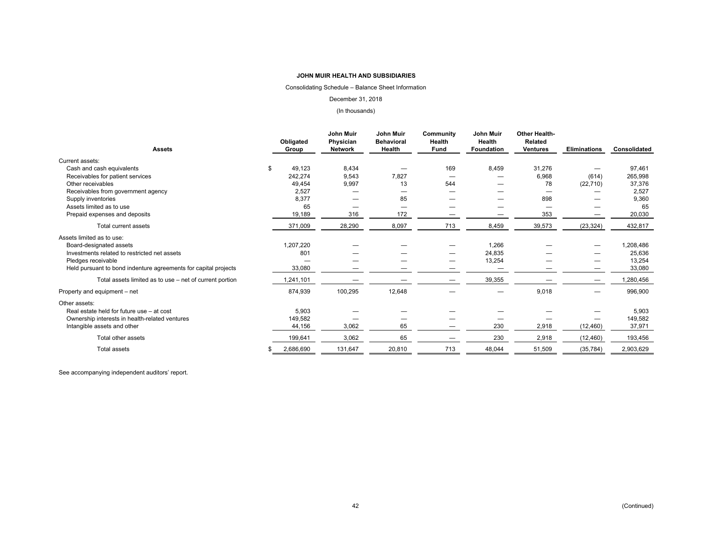#### Consolidating Schedule – Balance Sheet Information

#### December 31, 2018

#### (In thousands)

| <b>Assets</b>                                                   |   | Obligated<br>Group | John Muir<br>Physician<br><b>Network</b> | John Muir<br><b>Behavioral</b><br>Health | <b>Community</b><br>Health<br><b>Fund</b> | <b>John Muir</b><br>Health<br><b>Foundation</b> | Other Health-<br><b>Related</b><br><b>Ventures</b> | <b>Eliminations</b> | Consolidated |
|-----------------------------------------------------------------|---|--------------------|------------------------------------------|------------------------------------------|-------------------------------------------|-------------------------------------------------|----------------------------------------------------|---------------------|--------------|
| Current assets:                                                 |   |                    |                                          |                                          |                                           |                                                 |                                                    |                     |              |
| Cash and cash equivalents                                       | S | 49.123             | 8,434                                    |                                          | 169                                       | 8,459                                           | 31,276                                             |                     | 97,461       |
| Receivables for patient services                                |   | 242,274            | 9,543                                    | 7,827                                    |                                           |                                                 | 6,968                                              | (614)               | 265,998      |
| Other receivables                                               |   | 49,454             | 9,997                                    | 13                                       | 544                                       |                                                 | 78                                                 | (22, 710)           | 37,376       |
| Receivables from government agency                              |   | 2,527              |                                          |                                          |                                           |                                                 |                                                    |                     | 2,527        |
| Supply inventories                                              |   | 8,377              |                                          | 85                                       |                                           |                                                 | 898                                                |                     | 9,360        |
| Assets limited as to use                                        |   | 65                 |                                          |                                          |                                           |                                                 |                                                    |                     | 65           |
| Prepaid expenses and deposits                                   |   | 19,189             | 316                                      | 172                                      |                                           |                                                 | 353                                                |                     | 20,030       |
| Total current assets                                            |   | 371,009            | 28,290                                   | 8,097                                    | 713                                       | 8,459                                           | 39,573                                             | (23, 324)           | 432,817      |
| Assets limited as to use:                                       |   |                    |                                          |                                          |                                           |                                                 |                                                    |                     |              |
| Board-designated assets                                         |   | 1,207,220          |                                          |                                          |                                           | 1,266                                           |                                                    |                     | 1,208,486    |
| Investments related to restricted net assets                    |   | 801                |                                          |                                          |                                           | 24,835                                          |                                                    |                     | 25,636       |
| Pledges receivable                                              |   |                    |                                          |                                          |                                           | 13,254                                          |                                                    |                     | 13,254       |
| Held pursuant to bond indenture agreements for capital projects |   | 33,080             | _                                        |                                          |                                           | —                                               |                                                    |                     | 33,080       |
| Total assets limited as to use – net of current portion         |   | 1,241,101          |                                          |                                          | –                                         | 39,355                                          |                                                    |                     | 1,280,456    |
| Property and equipment – net                                    |   | 874,939            | 100,295                                  | 12,648                                   |                                           |                                                 | 9,018                                              |                     | 996,900      |
| Other assets:                                                   |   |                    |                                          |                                          |                                           |                                                 |                                                    |                     |              |
| Real estate held for future use - at cost                       |   | 5,903              |                                          |                                          |                                           |                                                 |                                                    |                     | 5,903        |
| Ownership interests in health-related ventures                  |   | 149,582            |                                          |                                          |                                           |                                                 |                                                    |                     | 149,582      |
| Intangible assets and other                                     |   | 44,156             | 3,062                                    | 65                                       |                                           | 230                                             | 2,918                                              | (12, 460)           | 37,971       |
| Total other assets                                              |   | 199,641            | 3,062                                    | 65                                       |                                           | 230                                             | 2,918                                              | (12, 460)           | 193,456      |
| <b>Total assets</b>                                             |   | 2,686,690          | 131,647                                  | 20,810                                   | 713                                       | 48,044                                          | 51,509                                             | (35, 784)           | 2,903,629    |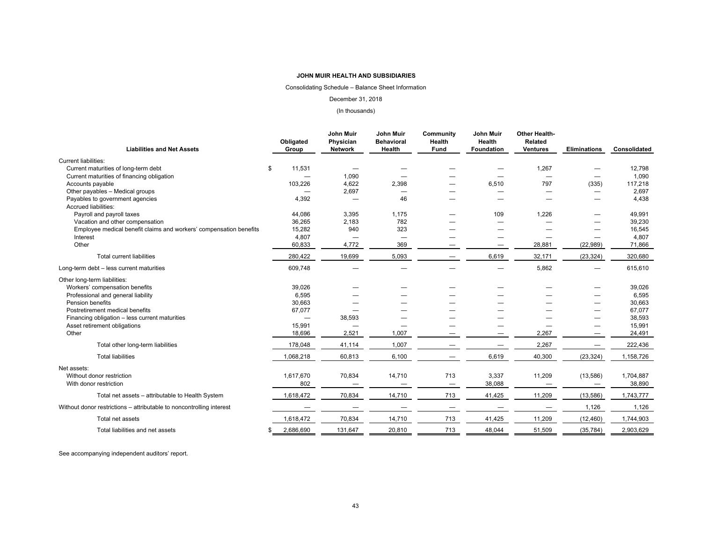#### Consolidating Schedule – Balance Sheet Information

#### December 31, 2018

#### (In thousands)

| <b>Liabilities and Net Assets</b>                                    | Obligated<br>Group       | <b>John Muir</b><br>Physician<br><b>Network</b> | <b>John Muir</b><br><b>Behavioral</b><br>Health | Community<br>Health<br>Fund | <b>John Muir</b><br>Health<br><b>Foundation</b> | <b>Other Health-</b><br><b>Related</b><br><b>Ventures</b> | <b>Eliminations</b>      | Consolidated |
|----------------------------------------------------------------------|--------------------------|-------------------------------------------------|-------------------------------------------------|-----------------------------|-------------------------------------------------|-----------------------------------------------------------|--------------------------|--------------|
| <b>Current liabilities:</b>                                          |                          |                                                 |                                                 |                             |                                                 |                                                           |                          |              |
| Current maturities of long-term debt                                 | 11,531<br>\$             |                                                 |                                                 |                             |                                                 | 1,267                                                     |                          | 12,798       |
| Current maturities of financing obligation                           |                          | 1,090                                           |                                                 |                             |                                                 | $\overline{\phantom{0}}$                                  |                          | 1,090        |
| Accounts payable                                                     | 103,226                  | 4,622                                           | 2,398                                           | –                           | 6,510                                           | 797                                                       | (335)                    | 117,218      |
| Other payables - Medical groups                                      |                          | 2,697                                           |                                                 |                             |                                                 |                                                           |                          | 2,697        |
| Payables to government agencies                                      | 4,392                    |                                                 | 46                                              |                             |                                                 |                                                           |                          | 4,438        |
| <b>Accrued liabilities:</b>                                          |                          |                                                 |                                                 |                             |                                                 |                                                           |                          |              |
| Payroll and payroll taxes                                            | 44,086                   | 3,395                                           | 1,175                                           |                             | 109                                             | 1,226                                                     |                          | 49,991       |
| Vacation and other compensation                                      | 36,265                   | 2,183                                           | 782                                             |                             |                                                 |                                                           |                          | 39,230       |
| Employee medical benefit claims and workers' compensation benefits   | 15,282                   | 940                                             | 323                                             |                             |                                                 |                                                           |                          | 16,545       |
| Interest                                                             | 4,807                    | $\overline{\phantom{0}}$                        | $\overline{\phantom{0}}$                        |                             |                                                 |                                                           |                          | 4,807        |
| Other                                                                | 60,833                   | 4,772                                           | 369                                             | —                           |                                                 | 28,881                                                    | (22, 989)                | 71,866       |
| <b>Total current liabilities</b>                                     | 280,422                  | 19,699                                          | 5,093                                           |                             | 6,619                                           | 32,171                                                    | (23, 324)                | 320,680      |
| Long-term debt - less current maturities                             | 609,748                  |                                                 |                                                 |                             |                                                 | 5,862                                                     |                          | 615,610      |
| Other long-term liabilities:                                         |                          |                                                 |                                                 |                             |                                                 |                                                           |                          |              |
| Workers' compensation benefits                                       | 39,026                   |                                                 |                                                 |                             |                                                 |                                                           |                          | 39,026       |
| Professional and general liability                                   | 6,595                    |                                                 |                                                 |                             |                                                 |                                                           |                          | 6,595        |
| Pension benefits                                                     | 30,663                   |                                                 |                                                 |                             |                                                 |                                                           |                          | 30,663       |
| Postretirement medical benefits                                      | 67,077                   |                                                 |                                                 |                             |                                                 |                                                           |                          | 67,077       |
| Financing obligation - less current maturities                       | $\overline{\phantom{0}}$ | 38,593                                          |                                                 |                             |                                                 |                                                           | $\overline{\phantom{0}}$ | 38,593       |
| Asset retirement obligations                                         | 15,991                   | -                                               |                                                 |                             |                                                 |                                                           |                          | 15,991       |
| Other                                                                | 18,696                   | 2,521                                           | 1,007                                           |                             |                                                 | 2,267                                                     |                          | 24,491       |
| Total other long-term liabilities                                    | 178,048                  | 41,114                                          | 1,007                                           |                             |                                                 | 2,267                                                     |                          | 222,436      |
| <b>Total liabilities</b>                                             | 1,068,218                | 60,813                                          | 6,100                                           | $\overline{\phantom{0}}$    | 6,619                                           | 40,300                                                    | (23, 324)                | 1,158,726    |
| Net assets:                                                          |                          |                                                 |                                                 |                             |                                                 |                                                           |                          |              |
| Without donor restriction                                            | 1,617,670                | 70,834                                          | 14,710                                          | 713                         | 3,337                                           | 11,209                                                    | (13, 586)                | 1,704,887    |
| With donor restriction                                               | 802                      | $\overline{\phantom{0}}$                        | $\overbrace{\phantom{12322111}}$                | $\overline{\phantom{m}}$    | 38,088                                          | $\overline{\phantom{m}}$                                  | $\overline{\phantom{m}}$ | 38,890       |
|                                                                      |                          |                                                 |                                                 |                             |                                                 |                                                           |                          |              |
| Total net assets - attributable to Health System                     | 1,618,472                | 70,834                                          | 14,710                                          | 713                         | 41,425                                          | 11,209                                                    | (13, 586)                | 1,743,777    |
| Without donor restrictions - attributable to noncontrolling interest |                          |                                                 |                                                 |                             |                                                 |                                                           | 1,126                    | 1,126        |
| Total net assets                                                     | 1,618,472                | 70,834                                          | 14,710                                          | 713                         | 41,425                                          | 11,209                                                    | (12, 460)                | 1,744,903    |
| Total liabilities and net assets                                     | 2,686,690                | 131,647                                         | 20,810                                          | 713                         | 48,044                                          | 51,509                                                    | (35, 784)                | 2,903,629    |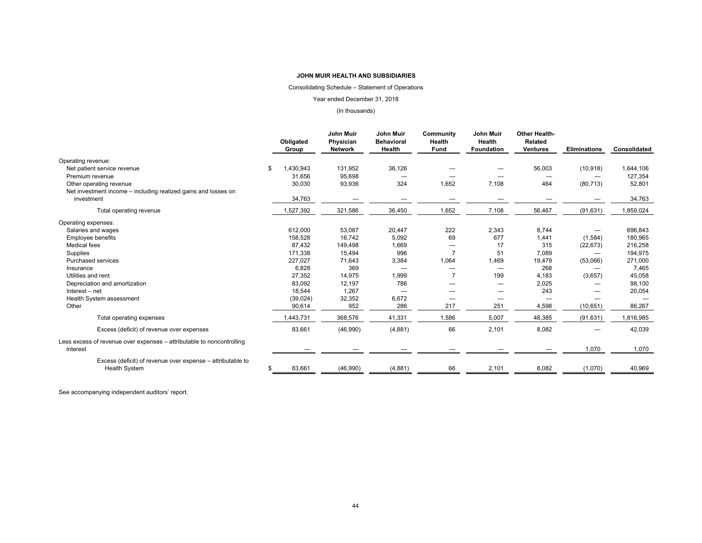#### Consolidating Schedule – Statement of Operations

#### Year ended December 31, 2018

#### (In thousands)

|                                                                                   |    | Obligated<br>Group | John Muir<br>Physician<br><b>Network</b> | <b>John Muir</b><br><b>Behavioral</b><br>Health | Community<br>Health<br><b>Fund</b> | <b>John Muir</b><br><b>Health</b><br><b>Foundation</b> | <b>Other Health-</b><br><b>Related</b><br><b>Ventures</b> | <b>Eliminations</b> | Consolidated |
|-----------------------------------------------------------------------------------|----|--------------------|------------------------------------------|-------------------------------------------------|------------------------------------|--------------------------------------------------------|-----------------------------------------------------------|---------------------|--------------|
| Operating revenue:                                                                |    |                    |                                          |                                                 |                                    |                                                        |                                                           |                     |              |
| Net patient service revenue                                                       | \$ | 1,430,943          | 131,952                                  | 36,126                                          |                                    |                                                        | 56,003                                                    | (10, 918)           | 1,644,106    |
| Premium revenue                                                                   |    | 31,656             | 95,698                                   |                                                 |                                    |                                                        |                                                           |                     | 127,354      |
| Other operating revenue                                                           |    | 30,030             | 93,936                                   | 324                                             | 1.652                              | 7.108                                                  | 464                                                       | (80, 713)           | 52,801       |
| Net investment income - including realized gains and losses on                    |    |                    |                                          |                                                 |                                    |                                                        |                                                           |                     |              |
| investment                                                                        |    | 34,763             |                                          |                                                 |                                    |                                                        |                                                           |                     | 34,763       |
| Total operating revenue                                                           |    | 1,527,392          | 321,586                                  | 36,450                                          | 1,652                              | 7,108                                                  | 56,467                                                    | (91, 631)           | 1,859,024    |
| Operating expenses:                                                               |    |                    |                                          |                                                 |                                    |                                                        |                                                           |                     |              |
| Salaries and wages                                                                |    | 612,000            | 53,087                                   | 20,447                                          | 222                                | 2,343                                                  | 8,744                                                     |                     | 696,843      |
| <b>Employee benefits</b>                                                          |    | 158,528            | 16,742                                   | 5,092                                           | 69                                 | 677                                                    | 1,441                                                     | (1,584)             | 180,965      |
| <b>Medical fees</b>                                                               |    | 87,432             | 149,498                                  | 1,669                                           |                                    | 17                                                     | 315                                                       | (22, 673)           | 216,258      |
| Supplies                                                                          |    | 171,338            | 15,494                                   | 996                                             | $\overline{7}$                     | 51                                                     | 7,089                                                     |                     | 194,975      |
| Purchased services                                                                |    | 227,027            | 71,643                                   | 3,384                                           | 1,064                              | 1,469                                                  | 19,479                                                    | (53,066)            | 271,000      |
| Insurance                                                                         |    | 6,828              | 369                                      | $\overline{\phantom{0}}$                        |                                    |                                                        | 268                                                       |                     | 7,465        |
| Utilities and rent                                                                |    | 27,352             | 14,975                                   | 1,999                                           | 7                                  | 199                                                    | 4,183                                                     | (3,657)             | 45,058       |
| Depreciation and amortization                                                     |    | 83,092             | 12,197                                   | 786                                             |                                    |                                                        | 2,025                                                     |                     | 98,100       |
| Interest - net                                                                    |    | 18,544             | 1,267                                    |                                                 |                                    |                                                        | 243                                                       |                     | 20,054       |
| Health System assessment                                                          |    | (39, 024)          | 32,352                                   | 6,672                                           |                                    |                                                        |                                                           |                     |              |
| Other                                                                             |    | 90,614             | 952                                      | 286                                             | 217                                | 251                                                    | 4,598                                                     | (10, 651)           | 86,267       |
| Total operating expenses                                                          |    | 1,443,731          | 368,576                                  | 41,331                                          | 1,586                              | 5,007                                                  | 48,385                                                    | (91, 631)           | 1,816,985    |
| Excess (deficit) of revenue over expenses                                         |    | 83,661             | (46,990)                                 | (4,881)                                         | 66                                 | 2,101                                                  | 8,082                                                     |                     | 42,039       |
| Less excess of revenue over expenses - attributable to noncontrolling<br>interest |    |                    |                                          |                                                 |                                    |                                                        |                                                           | 1,070               | 1,070        |
| Excess (deficit) of revenue over expense – attributable to                        |    |                    |                                          |                                                 |                                    |                                                        |                                                           |                     |              |
| <b>Health System</b>                                                              | S  | 83,661             | (46,990)                                 | (4, 881)                                        | 66                                 | 2,101                                                  | 8,082                                                     | (1,070)             | 40,969       |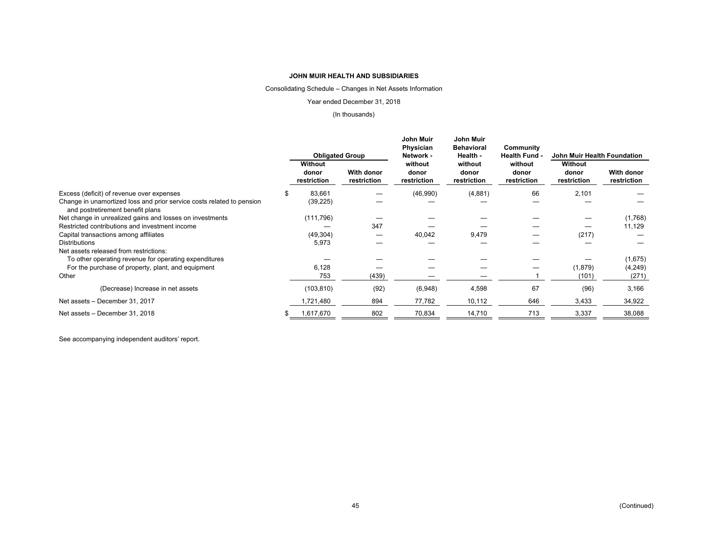Consolidating Schedule – Changes in Net Assets Information

Year ended December 31, 2018

#### (In thousands)

|                                                                                                           | <b>Obligated Group</b>          |                                  | John Muir<br>Physician<br>Network - | John Muir<br><b>Behavioral</b><br>Health - | Community<br><b>Health Fund -</b> | John Muir Health Foundation     |                           |  |
|-----------------------------------------------------------------------------------------------------------|---------------------------------|----------------------------------|-------------------------------------|--------------------------------------------|-----------------------------------|---------------------------------|---------------------------|--|
|                                                                                                           | Without<br>donor<br>restriction | <b>With donor</b><br>restriction | without<br>donor<br>restriction     | without<br>donor<br>restriction            | without<br>donor<br>restriction   | Without<br>donor<br>restriction | With donor<br>restriction |  |
| Excess (deficit) of revenue over expenses                                                                 | 83,661                          |                                  | (46,990)                            | (4,881)                                    | 66                                | 2,101                           |                           |  |
| Change in unamortized loss and prior service costs related to pension<br>and postretirement benefit plans | (39, 225)                       |                                  |                                     |                                            |                                   |                                 |                           |  |
| Net change in unrealized gains and losses on investments                                                  | (111, 796)                      |                                  |                                     |                                            |                                   |                                 | (1,768)                   |  |
| Restricted contributions and investment income                                                            |                                 | 347                              |                                     |                                            |                                   |                                 | 11,129                    |  |
| Capital transactions among affiliates                                                                     | (49, 304)                       |                                  | 40,042                              | 9,479                                      |                                   | (217)                           |                           |  |
| <b>Distributions</b>                                                                                      | 5,973                           |                                  |                                     |                                            |                                   |                                 |                           |  |
| Net assets released from restrictions:                                                                    |                                 |                                  |                                     |                                            |                                   |                                 |                           |  |
| To other operating revenue for operating expenditures                                                     |                                 |                                  |                                     |                                            |                                   |                                 | (1,675)                   |  |
| For the purchase of property, plant, and equipment                                                        | 6,128                           |                                  |                                     |                                            |                                   | (1,879)                         | (4,249)                   |  |
| Other                                                                                                     | 753                             | (439)                            |                                     |                                            |                                   | (101)                           | (271)                     |  |
| (Decrease) Increase in net assets                                                                         | (103, 810)                      | (92)                             | (6,948)                             | 4,598                                      | 67                                | (96)                            | 3,166                     |  |
| Net assets - December 31, 2017                                                                            | 1,721,480                       | 894                              | 77,782                              | 10,112                                     | 646                               | 3,433                           | 34,922                    |  |
| Net assets - December 31, 2018                                                                            | 1,617,670                       | 802                              | 70,834                              | 14,710                                     | 713                               | 3,337                           | 38,088                    |  |